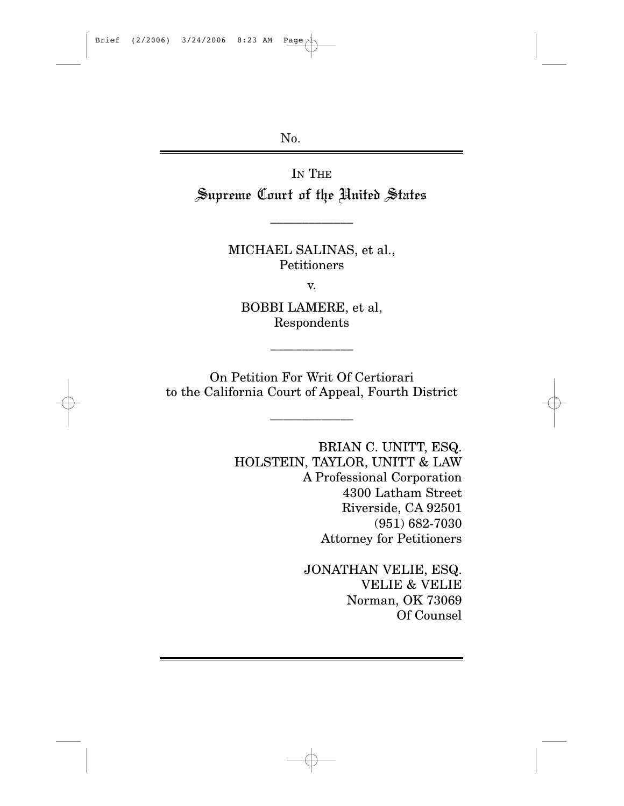No.

IN THE Supreme Court of the United States

> MICHAEL SALINAS, et al., Petitioners

\_\_\_\_\_\_\_\_\_\_\_\_\_

v.

BOBBI LAMERE, et al, Respondents

\_\_\_\_\_\_\_\_\_\_\_\_\_

On Petition For Writ Of Certiorari to the California Court of Appeal, Fourth District

\_\_\_\_\_\_\_\_\_\_\_\_\_

BRIAN C. UNITT, ESQ. HOLSTEIN, TAYLOR, UNITT & LAW A Professional Corporation 4300 Latham Street Riverside, CA 92501 (951) 682-7030 Attorney for Petitioners

> JONATHAN VELIE, ESQ. VELIE & VELIE Norman, OK 73069 Of Counsel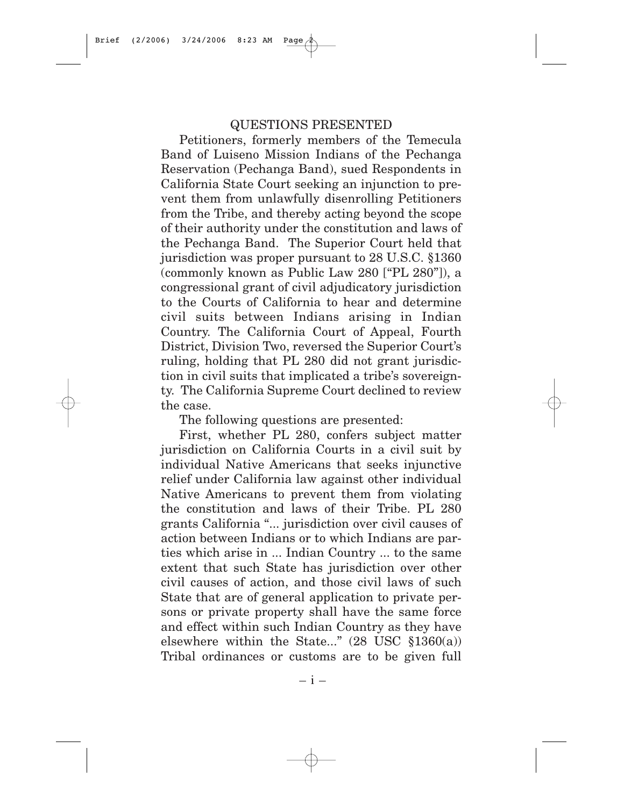#### QUESTIONS PRESENTED

Petitioners, formerly members of the Temecula Band of Luiseno Mission Indians of the Pechanga Reservation (Pechanga Band), sued Respondents in California State Court seeking an injunction to prevent them from unlawfully disenrolling Petitioners from the Tribe, and thereby acting beyond the scope of their authority under the constitution and laws of the Pechanga Band. The Superior Court held that jurisdiction was proper pursuant to 28 U.S.C. §1360 (commonly known as Public Law 280 ["PL 280"]), a congressional grant of civil adjudicatory jurisdiction to the Courts of California to hear and determine civil suits between Indians arising in Indian Country. The California Court of Appeal, Fourth District, Division Two, reversed the Superior Court's ruling, holding that PL 280 did not grant jurisdiction in civil suits that implicated a tribe's sovereignty. The California Supreme Court declined to review the case.

The following questions are presented:

First, whether PL 280, confers subject matter jurisdiction on California Courts in a civil suit by individual Native Americans that seeks injunctive relief under California law against other individual Native Americans to prevent them from violating the constitution and laws of their Tribe. PL 280 grants California "... jurisdiction over civil causes of action between Indians or to which Indians are parties which arise in ... Indian Country ... to the same extent that such State has jurisdiction over other civil causes of action, and those civil laws of such State that are of general application to private persons or private property shall have the same force and effect within such Indian Country as they have elsewhere within the State..."  $(28 \text{ USC } \S 1360(a))$ Tribal ordinances or customs are to be given full

– i –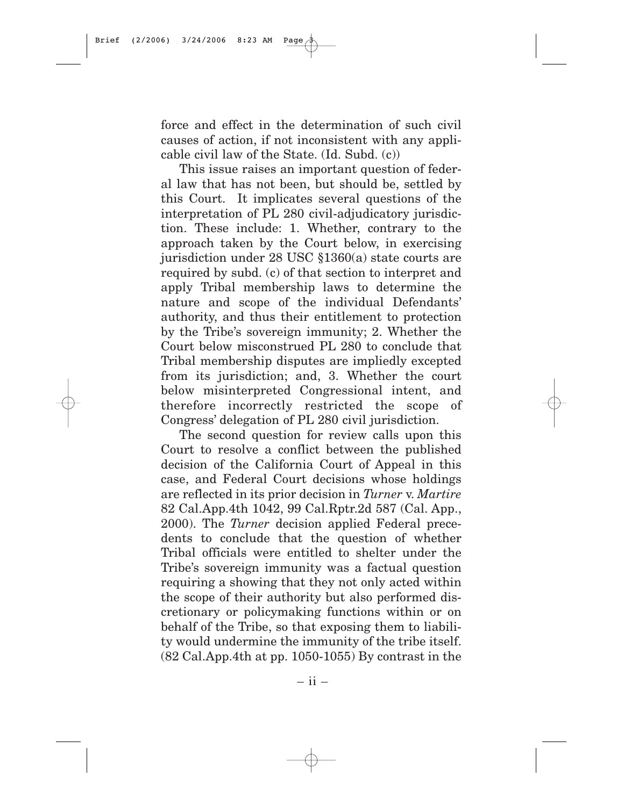force and effect in the determination of such civil causes of action, if not inconsistent with any applicable civil law of the State. (Id. Subd. (c))

This issue raises an important question of federal law that has not been, but should be, settled by this Court. It implicates several questions of the interpretation of PL 280 civil-adjudicatory jurisdiction. These include: 1. Whether, contrary to the approach taken by the Court below, in exercising jurisdiction under 28 USC §1360(a) state courts are required by subd. (c) of that section to interpret and apply Tribal membership laws to determine the nature and scope of the individual Defendants' authority, and thus their entitlement to protection by the Tribe's sovereign immunity; 2. Whether the Court below misconstrued PL 280 to conclude that Tribal membership disputes are impliedly excepted from its jurisdiction; and, 3. Whether the court below misinterpreted Congressional intent, and therefore incorrectly restricted the scope of Congress' delegation of PL 280 civil jurisdiction.

The second question for review calls upon this Court to resolve a conflict between the published decision of the California Court of Appeal in this case, and Federal Court decisions whose holdings are reflected in its prior decision in *Turner* v. *Martire* 82 Cal.App.4th 1042, 99 Cal.Rptr.2d 587 (Cal. App., 2000). The *Turner* decision applied Federal precedents to conclude that the question of whether Tribal officials were entitled to shelter under the Tribe's sovereign immunity was a factual question requiring a showing that they not only acted within the scope of their authority but also performed discretionary or policymaking functions within or on behalf of the Tribe, so that exposing them to liability would undermine the immunity of the tribe itself. (82 Cal.App.4th at pp. 1050-1055) By contrast in the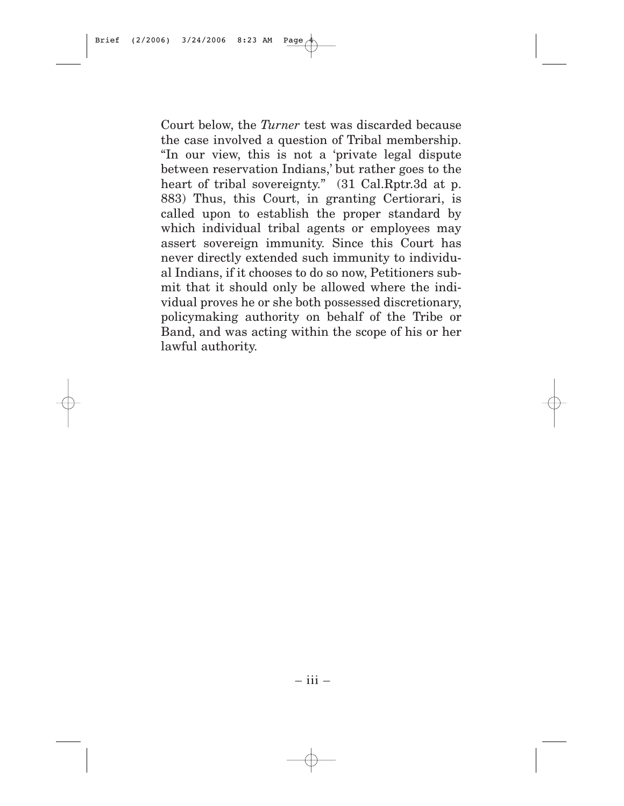Court below, the *Turner* test was discarded because the case involved a question of Tribal membership. "In our view, this is not a 'private legal dispute between reservation Indians,' but rather goes to the heart of tribal sovereignty." (31 Cal.Rptr.3d at p. 883) Thus, this Court, in granting Certiorari, is called upon to establish the proper standard by which individual tribal agents or employees may assert sovereign immunity. Since this Court has never directly extended such immunity to individual Indians, if it chooses to do so now, Petitioners submit that it should only be allowed where the individual proves he or she both possessed discretionary, policymaking authority on behalf of the Tribe or Band, and was acting within the scope of his or her lawful authority.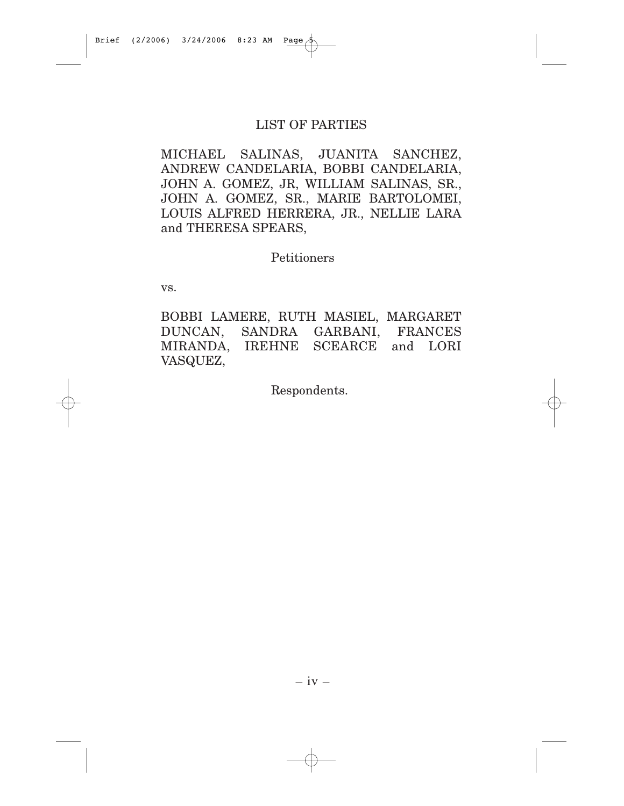### LIST OF PARTIES

MICHAEL SALINAS, JUANITA SANCHEZ, ANDREW CANDELARIA, BOBBI CANDELARIA, JOHN A. GOMEZ, JR, WILLIAM SALINAS, SR., JOHN A. GOMEZ, SR., MARIE BARTOLOMEI, LOUIS ALFRED HERRERA, JR., NELLIE LARA and THERESA SPEARS,

Petitioners

vs.

BOBBI LAMERE, RUTH MASIEL, MARGARET DUNCAN, SANDRA GARBANI, FRANCES MIRANDA, IREHNE SCEARCE and LORI VASQUEZ,

Respondents.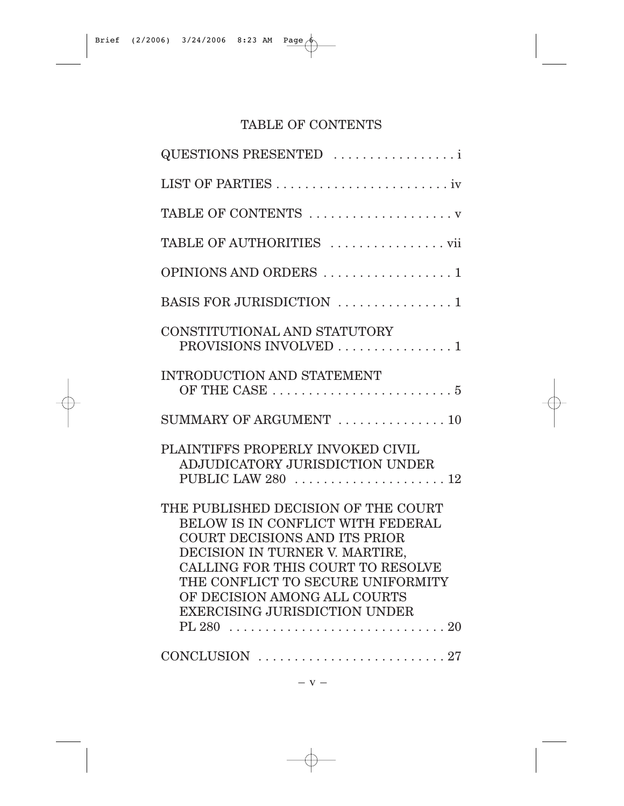# TABLE OF CONTENTS

| QUESTIONS PRESENTED                                                                                                                                                                                                                                                                                  |
|------------------------------------------------------------------------------------------------------------------------------------------------------------------------------------------------------------------------------------------------------------------------------------------------------|
|                                                                                                                                                                                                                                                                                                      |
| TABLE OF CONTENTS                                                                                                                                                                                                                                                                                    |
| TABLE OF AUTHORITIES                                                                                                                                                                                                                                                                                 |
| OPINIONS AND ORDERS 1                                                                                                                                                                                                                                                                                |
| BASIS FOR JURISDICTION 1                                                                                                                                                                                                                                                                             |
| CONSTITUTIONAL AND STATUTORY<br>PROVISIONS INVOLVED 1                                                                                                                                                                                                                                                |
| <b>INTRODUCTION AND STATEMENT</b>                                                                                                                                                                                                                                                                    |
| SUMMARY OF ARGUMENT  10                                                                                                                                                                                                                                                                              |
| PLAINTIFFS PROPERLY INVOKED CIVIL<br>ADJUDICATORY JURISDICTION UNDER<br>PUBLIC LAW 280  12                                                                                                                                                                                                           |
| THE PUBLISHED DECISION OF THE COURT<br>BELOW IS IN CONFLICT WITH FEDERAL<br><b>COURT DECISIONS AND ITS PRIOR</b><br>DECISION IN TURNER V. MARTIRE,<br>CALLING FOR THIS COURT TO RESOLVE<br>THE CONFLICT TO SECURE UNIFORMITY<br>OF DECISION AMONG ALL COURTS<br><b>EXERCISING JURISDICTION UNDER</b> |
|                                                                                                                                                                                                                                                                                                      |

– v –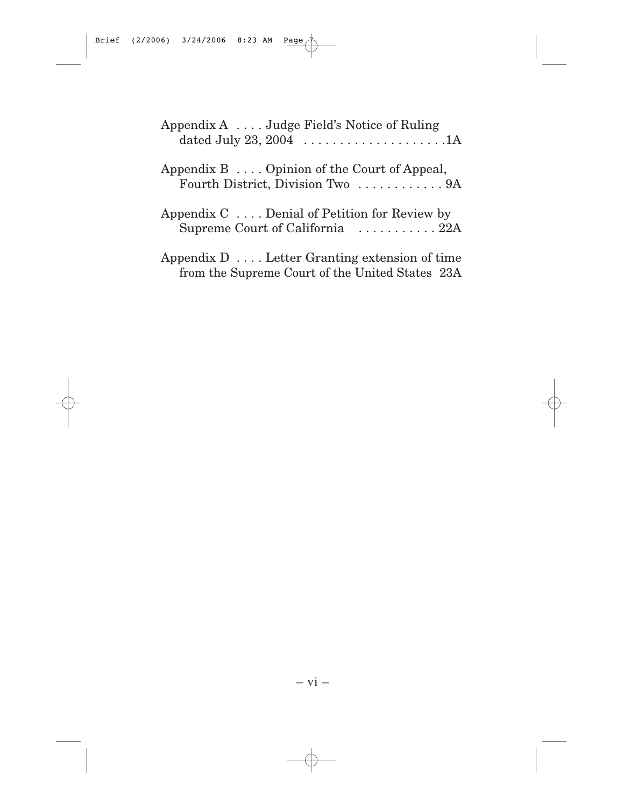| Appendix $A$ Judge Field's Notice of Ruling                                                              |
|----------------------------------------------------------------------------------------------------------|
| Appendix $B \ldots$ Opinion of the Court of Appeal,<br>Fourth District, Division Two  9A                 |
| Appendix $C \ldots$ Denial of Petition for Review by<br>Supreme Court of California 22A                  |
| Appendix $D \ldots$ Letter Granting extension of time<br>from the Supreme Court of the United States 23A |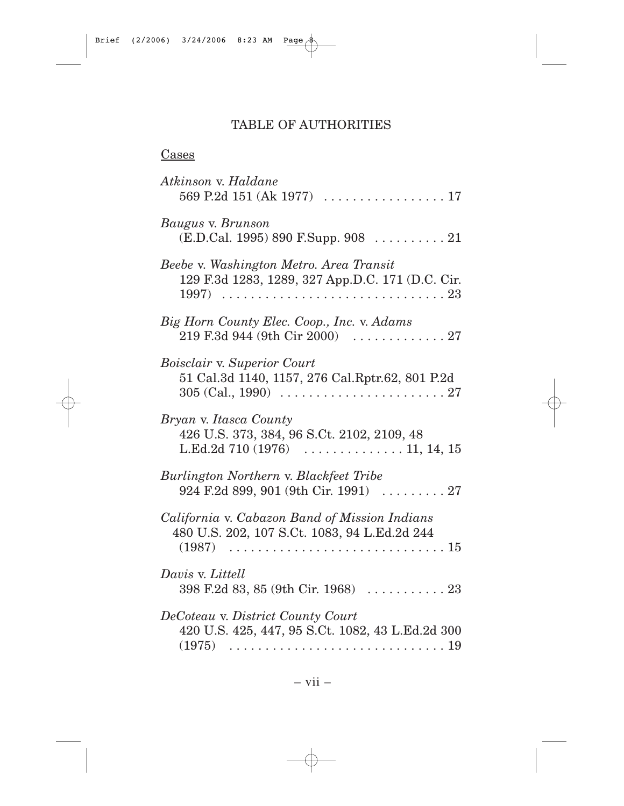# TABLE OF AUTHORITIES

## **Cases**

| Atkinson v. Haldane<br>569 P.2d 151 (Ak 1977) $\ldots \ldots \ldots \ldots \ldots 17$                                                                                     |
|---------------------------------------------------------------------------------------------------------------------------------------------------------------------------|
| Baugus v. Brunson<br>$(E.D.Cal. 1995) 890 F.Supp. 908   21$                                                                                                               |
| Beebe v. Washington Metro. Area Transit<br>129 F.3d 1283, 1289, 327 App.D.C. 171 (D.C. Cir.                                                                               |
| Big Horn County Elec. Coop., Inc. v. Adams<br>219 F.3d 944 (9th Cir 2000)<br>. 27                                                                                         |
| <b>Boisclair v. Superior Court</b><br>51 Cal.3d 1140, 1157, 276 Cal.Rptr.62, 801 P.2d<br>$305 \, (Cal., 1990) \ldots \ldots \ldots \ldots \ldots \ldots \ldots \ldots 27$ |
| Bryan v. Itasca County<br>426 U.S. 373, 384, 96 S.Ct. 2102, 2109, 48<br>L.Ed.2d $710(1976)$ 11, 14, 15                                                                    |
| Burlington Northern v. Blackfeet Tribe<br>924 F.2d 899, 901 (9th Cir. 1991)  27                                                                                           |
| California v. Cabazon Band of Mission Indians<br>480 U.S. 202, 107 S.Ct. 1083, 94 L.Ed.2d 244<br>(1987)                                                                   |
| Davis v. Littell<br>$398$ F.2d 83, 85 (9th Cir. 1968) $\ldots \ldots \ldots 23$                                                                                           |
| DeCoteau v. District County Court<br>420 U.S. 425, 447, 95 S.Ct. 1082, 43 L.Ed.2d 300<br>(1975)                                                                           |

– vii –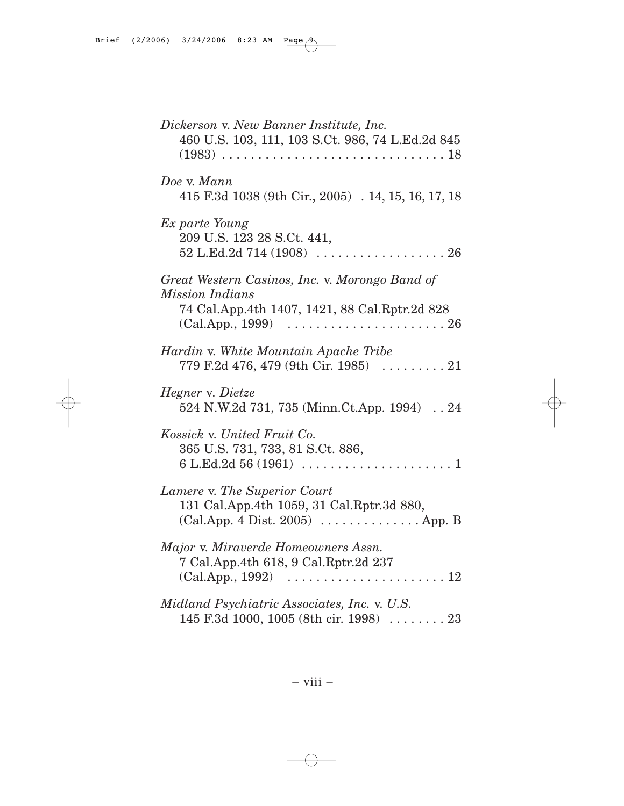| Dickerson v. New Banner Institute, Inc.<br>460 U.S. 103, 111, 103 S.Ct. 986, 74 L.Ed.2d 845                                                                |
|------------------------------------------------------------------------------------------------------------------------------------------------------------|
| Doe v. Mann<br>415 F.3d 1038 (9th Cir., 2005) . 14, 15, 16, 17, 18                                                                                         |
| Ex parte Young<br>209 U.S. 123 28 S.Ct. 441,<br>52 L.Ed.2d 714 (1908) $\ldots \ldots \ldots \ldots \ldots \ldots 26$                                       |
| Great Western Casinos, Inc. v. Morongo Band of<br><i>Mission Indians</i><br>74 Cal.App.4th 1407, 1421, 88 Cal.Rptr.2d 828<br>(Cal App., 1999)              |
| Hardin v. White Mountain Apache Tribe<br>779 F.2d 476, 479 (9th Cir. 1985)  21                                                                             |
| Hegner v. Dietze<br>524 N.W.2d 731, 735 (Minn.Ct.App. 1994)  24                                                                                            |
| Kossick v. United Fruit Co.<br>365 U.S. 731, 733, 81 S.Ct. 886,<br>6 L.Ed.2d 56 (1961) $\ldots \ldots \ldots \ldots \ldots \ldots \ldots 1$                |
| Lamere v. The Superior Court<br>131 Cal.App.4th 1059, 31 Cal.Rptr.3d 880,<br>$(Cal App. 4 Dist. 2005) \ldots \ldots \ldots \ldots$ . App. B                |
| Major v. Miraverde Homeowners Assn.<br>7 Cal.App.4th 618, 9 Cal.Rptr.2d 237<br>$(Cal App., 1992) \dots \dots \dots \dots \dots \dots \dots \dots \dots 12$ |
| Midland Psychiatric Associates, Inc. v. U.S.<br>145 F.3d 1000, 1005 (8th cir. 1998)  23                                                                    |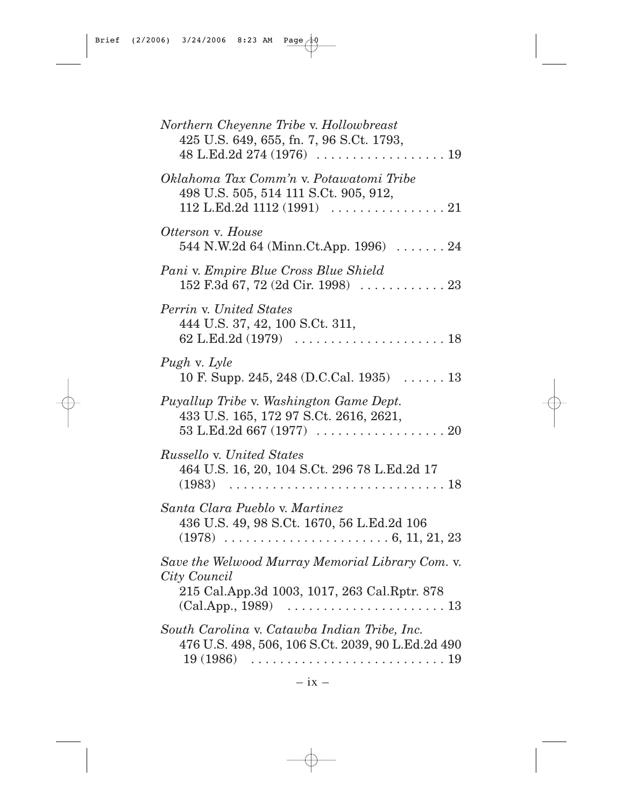| Northern Cheyenne Tribe v. Hollowbreast<br>425 U.S. 649, 655, fn. 7, 96 S.Ct. 1793,                                                                 |  |
|-----------------------------------------------------------------------------------------------------------------------------------------------------|--|
| Oklahoma Tax Comm'n v. Potawatomi Tribe<br>498 U.S. 505, 514 111 S.Ct. 905, 912,<br>112 L.Ed.2d 1112 (1991) $\ldots \ldots \ldots \ldots \ldots 21$ |  |
| Otterson v. House<br>544 N.W.2d 64 (Minn.Ct.App. 1996) $\ldots \ldots$ 24                                                                           |  |
| Pani v. Empire Blue Cross Blue Shield                                                                                                               |  |
| Perrin v. United States<br>444 U.S. 37, 42, 100 S.Ct. 311,                                                                                          |  |
| Pugh v. Lyle<br>10 F. Supp. 245, 248 (D.C.Cal. 1935) $\dots$ . 13                                                                                   |  |
| Puyallup Tribe v. Washington Game Dept.<br>433 U.S. 165, 172 97 S.Ct. 2616, 2621,                                                                   |  |
| Russello v. United States<br>464 U.S. 16, 20, 104 S.Ct. 296 78 L.Ed.2d 17                                                                           |  |
| Santa Clara Pueblo v. Martinez<br>436 U.S. 49, 98 S.Ct. 1670, 56 L.Ed.2d 106                                                                        |  |
| Save the Welwood Murray Memorial Library Com. v.<br>City Council<br>215 Cal. App. 3d 1003, 1017, 263 Cal. Rptr. 878<br>(CalApp., 1989)              |  |
| South Carolina v. Catawba Indian Tribe, Inc.<br>476 U.S. 498, 506, 106 S.Ct. 2039, 90 L.Ed.2d 490                                                   |  |

 $\oplus$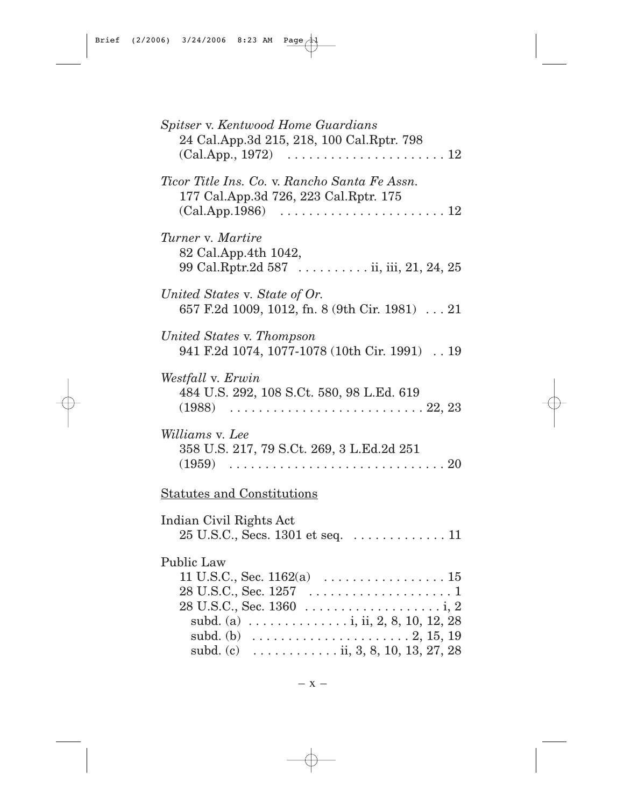| Spitser v. Kentwood Home Guardians<br>24 Cal.App.3d 215, 218, 100 Cal.Rptr. 798<br>$(Cal App., 1972) \dots \dots \dots \dots \dots \dots \dots \dots \dots \dots 12$                                                                                                       |
|----------------------------------------------------------------------------------------------------------------------------------------------------------------------------------------------------------------------------------------------------------------------------|
| Ticor Title Ins. Co. v. Rancho Santa Fe Assn.<br>177 Cal.App.3d 726, 223 Cal.Rptr. 175<br>(Cal.App.1986)                                                                                                                                                                   |
| Turner v. Martire<br>82 Cal.App.4th 1042,<br>99 Cal.Rptr.2d 587 ii, iii, 21, 24, 25                                                                                                                                                                                        |
| United States v. State of Or.<br>657 F.2d 1009, 1012, fn. 8 (9th Cir. 1981)  21                                                                                                                                                                                            |
| United States v. Thompson<br>941 F.2d 1074, 1077-1078 (10th Cir. 1991)  19                                                                                                                                                                                                 |
| Westfall v. Erwin<br>484 U.S. 292, 108 S.Ct. 580, 98 L.Ed. 619                                                                                                                                                                                                             |
| Williams v. Lee<br>358 U.S. 217, 79 S.Ct. 269, 3 L.Ed.2d 251                                                                                                                                                                                                               |
| <b>Statutes and Constitutions</b>                                                                                                                                                                                                                                          |
| Indian Civil Rights Act<br>$25$ U.S.C., Secs. 1301 et seq. $\dots \dots \dots \dots \dots \dots$                                                                                                                                                                           |
| Public Law<br>11 U.S.C., Sec. 1162(a) $\dots \dots \dots \dots \dots \dots \dots \dots 15$<br>subd. (a) $\dots \dots \dots \dots$ i, ii, 2, 8, 10, 12, 28<br>subd. (b) $\ldots \ldots \ldots \ldots \ldots \ldots \ldots 2, 15, 19$<br>subd. (c)  ii, 3, 8, 10, 13, 27, 28 |

 $\oplus$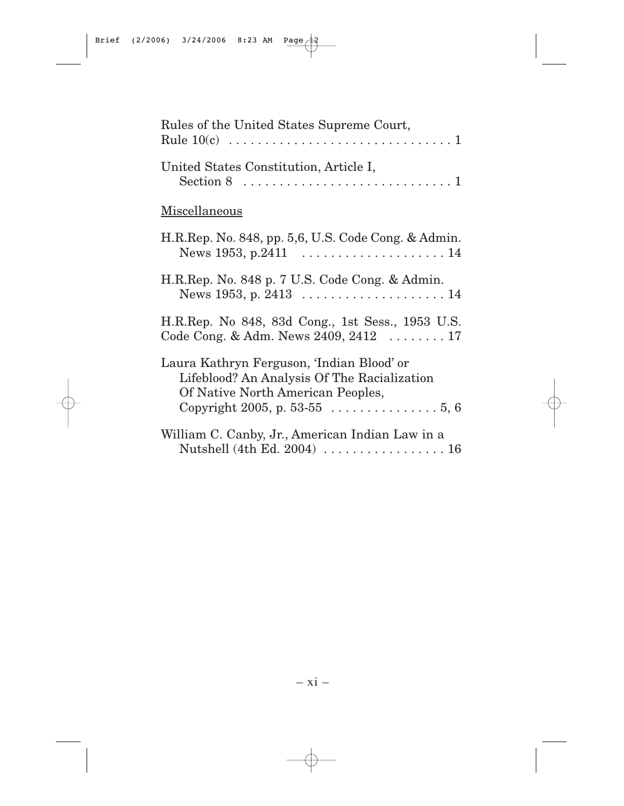| Rules of the United States Supreme Court,                                                                                                                      |  |  |
|----------------------------------------------------------------------------------------------------------------------------------------------------------------|--|--|
| United States Constitution, Article I,<br>Section 8 $\dots \dots \dots \dots \dots \dots \dots \dots \dots \dots \dots \dots$                                  |  |  |
| Miscellaneous                                                                                                                                                  |  |  |
| H.R.Rep. No. 848, pp. 5,6, U.S. Code Cong. & Admin.<br>News 1953, p.2411 $\ldots \ldots \ldots \ldots \ldots \ldots 14$                                        |  |  |
| H.R.Rep. No. 848 p. 7 U.S. Code Cong. & Admin.<br>News 1953, p. 2413  14                                                                                       |  |  |
| H.R.Rep. No 848, 83d Cong., 1st Sess., 1953 U.S.<br>Code Cong. & Adm. News $2409, 2412$ 17                                                                     |  |  |
| Laura Kathryn Ferguson, 'Indian Blood' or<br>Lifeblood? An Analysis Of The Racialization<br>Of Native North American Peoples,<br>Copyright 2005, p. 53-55 5, 6 |  |  |
| William C. Canby, Jr., American Indian Law in a<br>Nutshell (4th Ed. 2004)  16                                                                                 |  |  |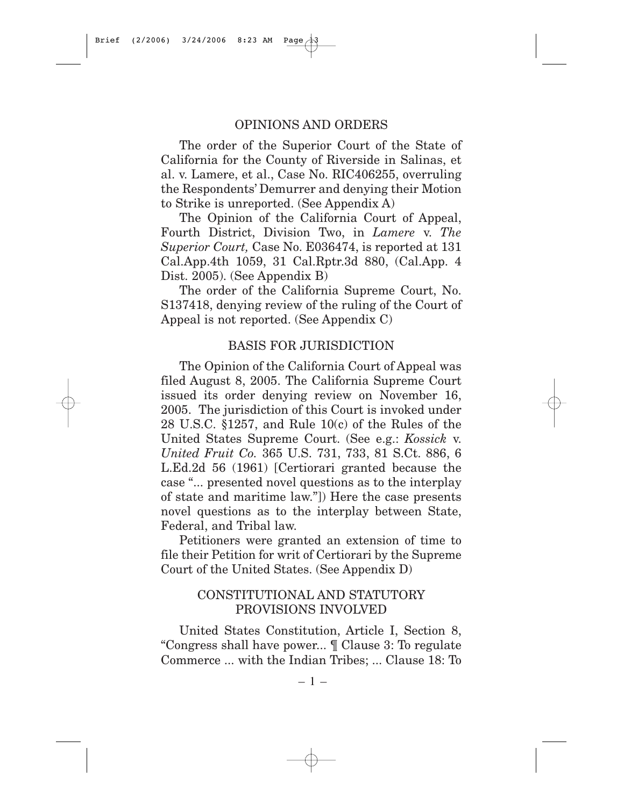#### OPINIONS AND ORDERS

The order of the Superior Court of the State of California for the County of Riverside in Salinas, et al. v. Lamere, et al., Case No. RIC406255, overruling the Respondents' Demurrer and denying their Motion to Strike is unreported. (See Appendix A)

The Opinion of the California Court of Appeal, Fourth District, Division Two, in *Lamere* v. *The Superior Court,* Case No. E036474, is reported at 131 Cal.App.4th 1059, 31 Cal.Rptr.3d 880, (Cal.App. 4 Dist. 2005). (See Appendix B)

The order of the California Supreme Court, No. S137418, denying review of the ruling of the Court of Appeal is not reported. (See Appendix C)

#### BASIS FOR JURISDICTION

The Opinion of the California Court of Appeal was filed August 8, 2005. The California Supreme Court issued its order denying review on November 16, 2005. The jurisdiction of this Court is invoked under 28 U.S.C. §1257, and Rule 10(c) of the Rules of the United States Supreme Court. (See e.g.: *Kossick* v. *United Fruit Co.* 365 U.S. 731, 733, 81 S.Ct. 886, 6 L.Ed.2d 56 (1961) [Certiorari granted because the case "... presented novel questions as to the interplay of state and maritime law."]) Here the case presents novel questions as to the interplay between State, Federal, and Tribal law.

Petitioners were granted an extension of time to file their Petition for writ of Certiorari by the Supreme Court of the United States. (See Appendix D)

## CONSTITUTIONAL AND STATUTORY PROVISIONS INVOLVED

United States Constitution, Article I, Section 8, "Congress shall have power... ¶ Clause 3: To regulate Commerce ... with the Indian Tribes; ... Clause 18: To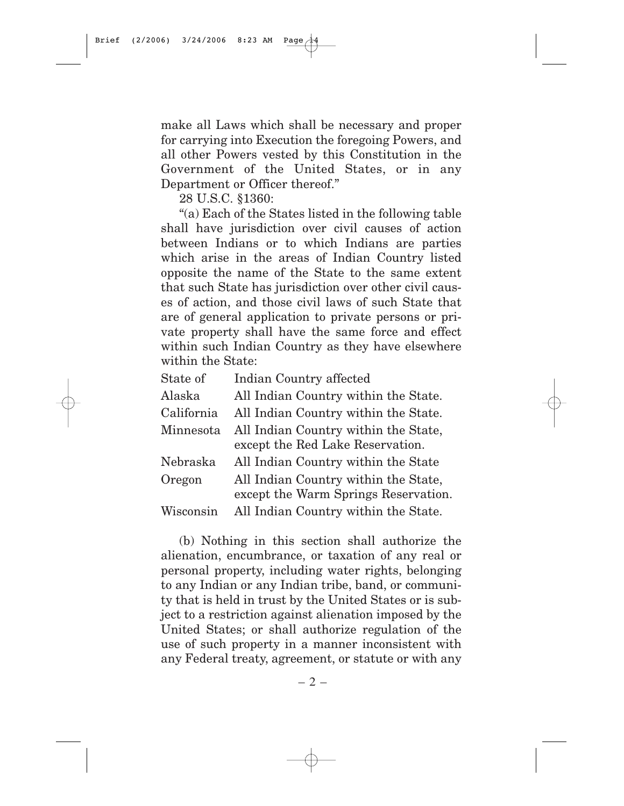make all Laws which shall be necessary and proper for carrying into Execution the foregoing Powers, and all other Powers vested by this Constitution in the Government of the United States, or in any Department or Officer thereof."

28 U.S.C. §1360:

"(a) Each of the States listed in the following table shall have jurisdiction over civil causes of action between Indians or to which Indians are parties which arise in the areas of Indian Country listed opposite the name of the State to the same extent that such State has jurisdiction over other civil causes of action, and those civil laws of such State that are of general application to private persons or private property shall have the same force and effect within such Indian Country as they have elsewhere within the State:

| State of   | Indian Country affected              |
|------------|--------------------------------------|
| Alaska     | All Indian Country within the State. |
| California | All Indian Country within the State. |
| Minnesota  | All Indian Country within the State, |
|            | except the Red Lake Reservation.     |
| Nebraska   | All Indian Country within the State  |
| Oregon     | All Indian Country within the State, |
|            | except the Warm Springs Reservation. |
| Wisconsin  | All Indian Country within the State. |
|            |                                      |

(b) Nothing in this section shall authorize the alienation, encumbrance, or taxation of any real or personal property, including water rights, belonging to any Indian or any Indian tribe, band, or community that is held in trust by the United States or is subject to a restriction against alienation imposed by the United States; or shall authorize regulation of the use of such property in a manner inconsistent with any Federal treaty, agreement, or statute or with any

 $-2-$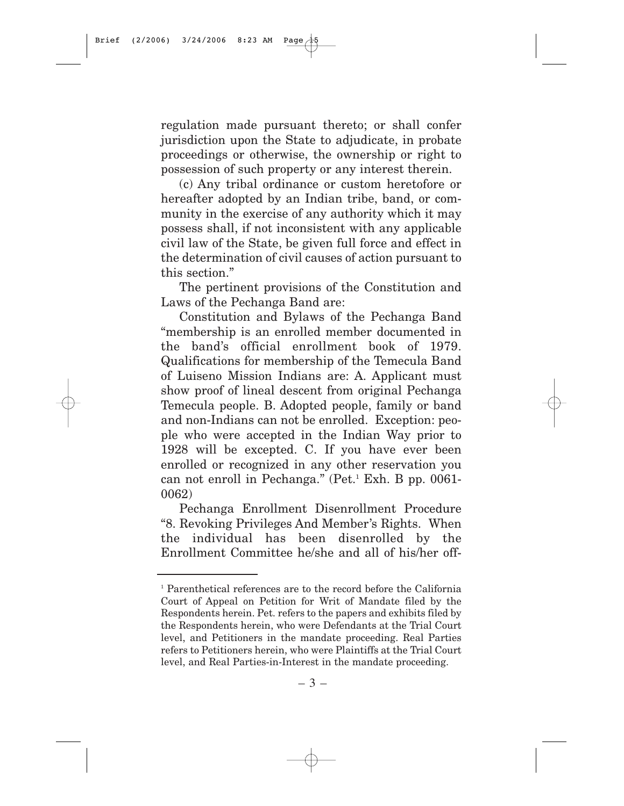regulation made pursuant thereto; or shall confer jurisdiction upon the State to adjudicate, in probate proceedings or otherwise, the ownership or right to possession of such property or any interest therein.

(c) Any tribal ordinance or custom heretofore or hereafter adopted by an Indian tribe, band, or community in the exercise of any authority which it may possess shall, if not inconsistent with any applicable civil law of the State, be given full force and effect in the determination of civil causes of action pursuant to this section."

The pertinent provisions of the Constitution and Laws of the Pechanga Band are:

Constitution and Bylaws of the Pechanga Band "membership is an enrolled member documented in the band's official enrollment book of 1979. Qualifications for membership of the Temecula Band of Luiseno Mission Indians are: A. Applicant must show proof of lineal descent from original Pechanga Temecula people. B. Adopted people, family or band and non-Indians can not be enrolled. Exception: people who were accepted in the Indian Way prior to 1928 will be excepted. C. If you have ever been enrolled or recognized in any other reservation you can not enroll in Pechanga." (Pet.<sup>1</sup> Exh. B pp. 0061-0062)

Pechanga Enrollment Disenrollment Procedure "8. Revoking Privileges And Member's Rights. When the individual has been disenrolled by the Enrollment Committee he/she and all of his/her off-

<sup>1</sup> Parenthetical references are to the record before the California Court of Appeal on Petition for Writ of Mandate filed by the Respondents herein. Pet. refers to the papers and exhibits filed by the Respondents herein, who were Defendants at the Trial Court level, and Petitioners in the mandate proceeding. Real Parties refers to Petitioners herein, who were Plaintiffs at the Trial Court level, and Real Parties-in-Interest in the mandate proceeding.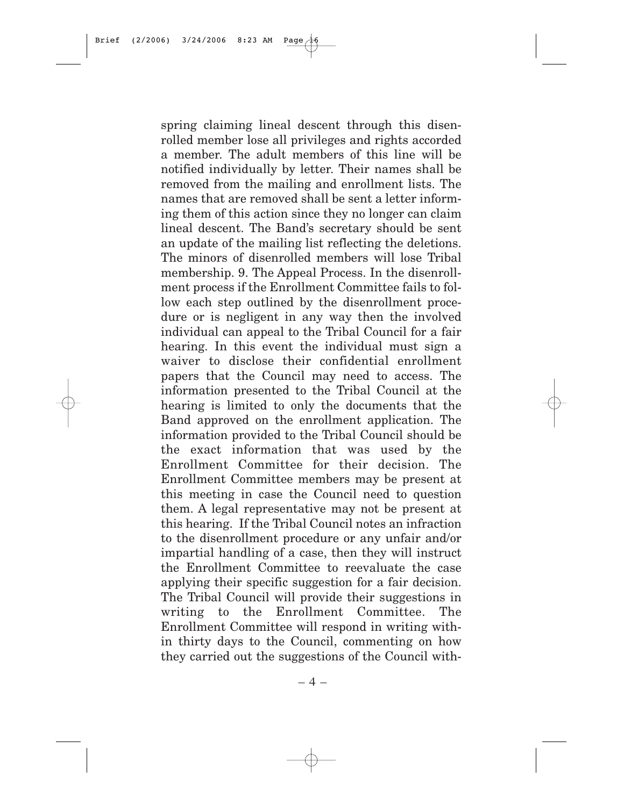spring claiming lineal descent through this disenrolled member lose all privileges and rights accorded a member. The adult members of this line will be notified individually by letter. Their names shall be removed from the mailing and enrollment lists. The names that are removed shall be sent a letter informing them of this action since they no longer can claim lineal descent. The Band's secretary should be sent an update of the mailing list reflecting the deletions. The minors of disenrolled members will lose Tribal membership. 9. The Appeal Process. In the disenrollment process if the Enrollment Committee fails to follow each step outlined by the disenrollment procedure or is negligent in any way then the involved individual can appeal to the Tribal Council for a fair hearing. In this event the individual must sign a waiver to disclose their confidential enrollment papers that the Council may need to access. The information presented to the Tribal Council at the hearing is limited to only the documents that the Band approved on the enrollment application. The information provided to the Tribal Council should be the exact information that was used by the Enrollment Committee for their decision. The Enrollment Committee members may be present at this meeting in case the Council need to question them. A legal representative may not be present at this hearing. If the Tribal Council notes an infraction to the disenrollment procedure or any unfair and/or impartial handling of a case, then they will instruct the Enrollment Committee to reevaluate the case applying their specific suggestion for a fair decision. The Tribal Council will provide their suggestions in writing to the Enrollment Committee. The Enrollment Committee will respond in writing within thirty days to the Council, commenting on how they carried out the suggestions of the Council with-

– 4 –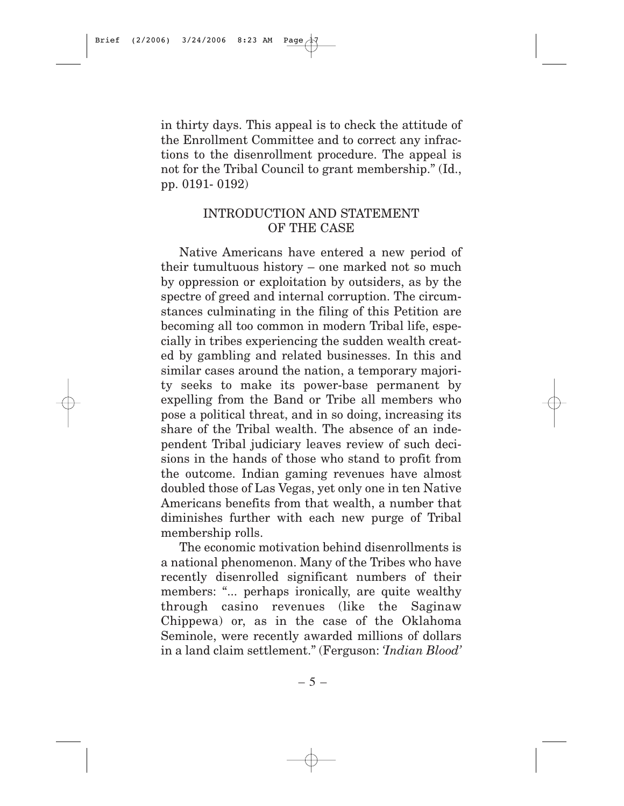in thirty days. This appeal is to check the attitude of the Enrollment Committee and to correct any infractions to the disenrollment procedure. The appeal is not for the Tribal Council to grant membership." (Id., pp. 0191- 0192)

## INTRODUCTION AND STATEMENT OF THE CASE

Native Americans have entered a new period of their tumultuous history – one marked not so much by oppression or exploitation by outsiders, as by the spectre of greed and internal corruption. The circumstances culminating in the filing of this Petition are becoming all too common in modern Tribal life, especially in tribes experiencing the sudden wealth created by gambling and related businesses. In this and similar cases around the nation, a temporary majority seeks to make its power-base permanent by expelling from the Band or Tribe all members who pose a political threat, and in so doing, increasing its share of the Tribal wealth. The absence of an independent Tribal judiciary leaves review of such decisions in the hands of those who stand to profit from the outcome. Indian gaming revenues have almost doubled those of Las Vegas, yet only one in ten Native Americans benefits from that wealth, a number that diminishes further with each new purge of Tribal membership rolls.

The economic motivation behind disenrollments is a national phenomenon. Many of the Tribes who have recently disenrolled significant numbers of their members: "... perhaps ironically, are quite wealthy through casino revenues (like the Saginaw Chippewa) or, as in the case of the Oklahoma Seminole, were recently awarded millions of dollars in a land claim settlement." (Ferguson: *'Indian Blood'*

 $-5-$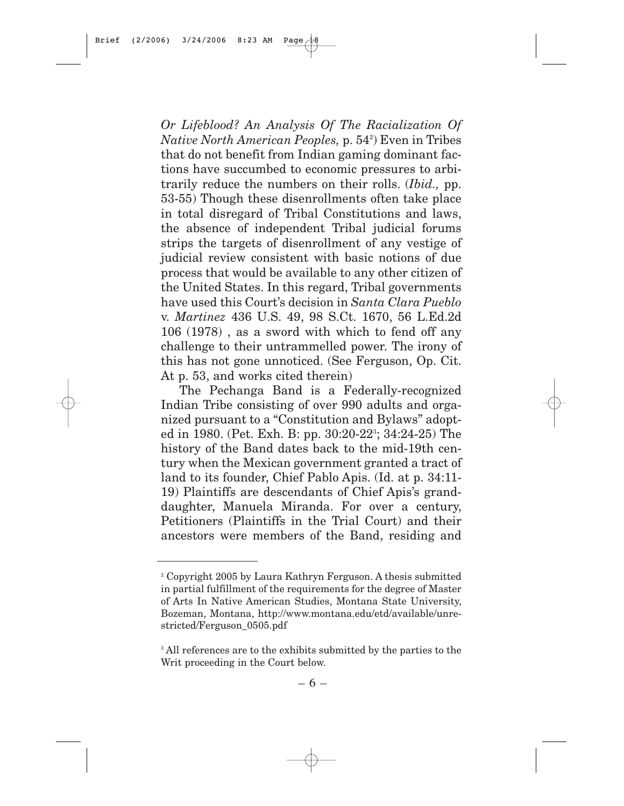*Or Lifeblood? An Analysis Of The Racialization Of Native North American Peoples,* p. 542 ) Even in Tribes that do not benefit from Indian gaming dominant factions have succumbed to economic pressures to arbitrarily reduce the numbers on their rolls. (*Ibid.,* pp. 53-55) Though these disenrollments often take place in total disregard of Tribal Constitutions and laws, the absence of independent Tribal judicial forums strips the targets of disenrollment of any vestige of judicial review consistent with basic notions of due process that would be available to any other citizen of the United States. In this regard, Tribal governments have used this Court's decision in *Santa Clara Pueblo* v. *Martinez* 436 U.S. 49, 98 S.Ct. 1670, 56 L.Ed.2d 106 (1978) , as a sword with which to fend off any challenge to their untrammelled power. The irony of this has not gone unnoticed. (See Ferguson, Op. Cit. At p. 53, and works cited therein)

The Pechanga Band is a Federally-recognized Indian Tribe consisting of over 990 adults and organized pursuant to a "Constitution and Bylaws" adopted in 1980. (Pet. Exh. B: pp. 30:20-223 ; 34:24-25) The history of the Band dates back to the mid-19th century when the Mexican government granted a tract of land to its founder, Chief Pablo Apis. (Id. at p. 34:11- 19) Plaintiffs are descendants of Chief Apis's granddaughter, Manuela Miranda. For over a century, Petitioners (Plaintiffs in the Trial Court) and their ancestors were members of the Band, residing and

<sup>2</sup> Copyright 2005 by Laura Kathryn Ferguson. A thesis submitted in partial fulfillment of the requirements for the degree of Master of Arts In Native American Studies, Montana State University, Bozeman, Montana, http://www.montana.edu/etd/available/unrestricted/Ferguson\_0505.pdf

<sup>&</sup>lt;sup>3</sup> All references are to the exhibits submitted by the parties to the Writ proceeding in the Court below.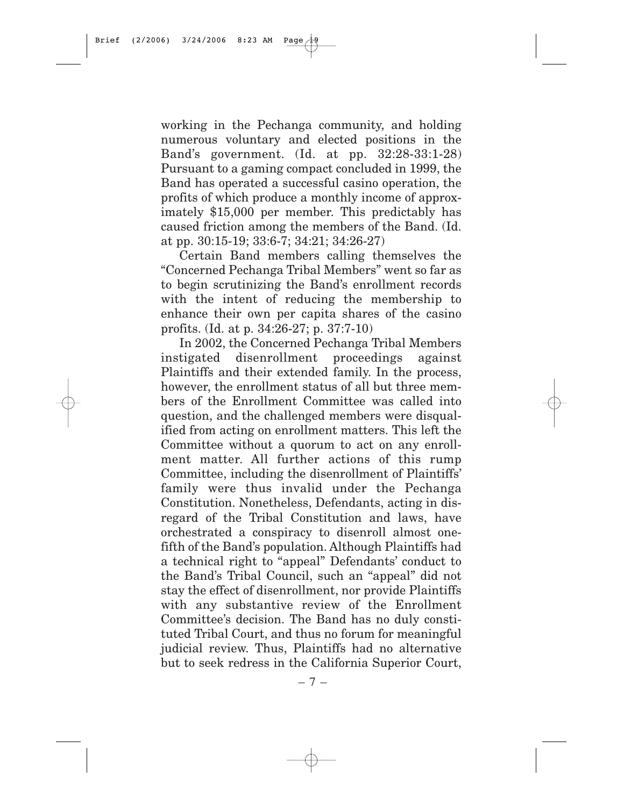working in the Pechanga community, and holding numerous voluntary and elected positions in the Band's government. (Id. at pp. 32:28-33:1-28) Pursuant to a gaming compact concluded in 1999, the Band has operated a successful casino operation, the profits of which produce a monthly income of approximately \$15,000 per member. This predictably has caused friction among the members of the Band. (Id. at pp. 30:15-19; 33:6-7; 34:21; 34:26-27)

Certain Band members calling themselves the "Concerned Pechanga Tribal Members" went so far as to begin scrutinizing the Band's enrollment records with the intent of reducing the membership to enhance their own per capita shares of the casino profits. (Id. at p. 34:26-27; p. 37:7-10)

In 2002, the Concerned Pechanga Tribal Members instigated disenrollment proceedings against Plaintiffs and their extended family. In the process, however, the enrollment status of all but three members of the Enrollment Committee was called into question, and the challenged members were disqualified from acting on enrollment matters. This left the Committee without a quorum to act on any enrollment matter. All further actions of this rump Committee, including the disenrollment of Plaintiffs' family were thus invalid under the Pechanga Constitution. Nonetheless, Defendants, acting in disregard of the Tribal Constitution and laws, have orchestrated a conspiracy to disenroll almost onefifth of the Band's population. Although Plaintiffs had a technical right to "appeal" Defendants' conduct to the Band's Tribal Council, such an "appeal" did not stay the effect of disenrollment, nor provide Plaintiffs with any substantive review of the Enrollment Committee's decision. The Band has no duly constituted Tribal Court, and thus no forum for meaningful judicial review. Thus, Plaintiffs had no alternative but to seek redress in the California Superior Court,

– 7 –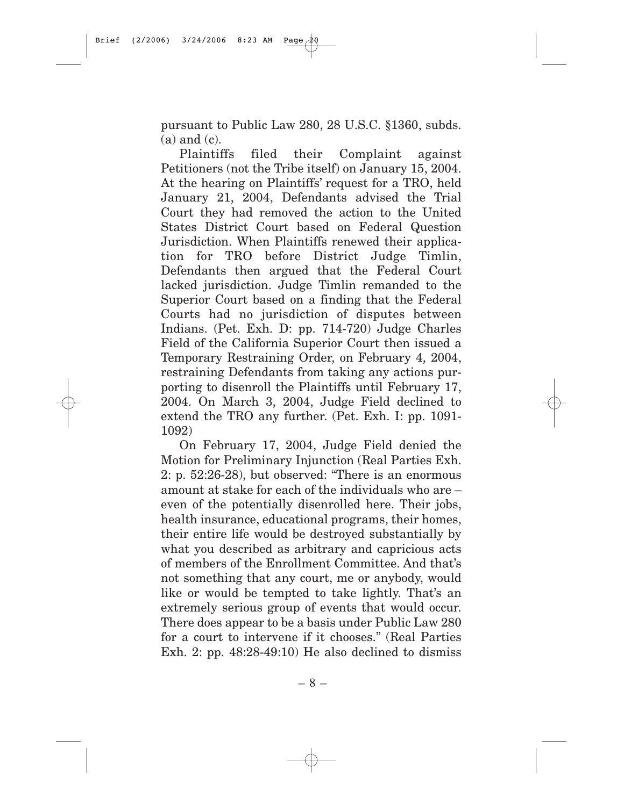pursuant to Public Law 280, 28 U.S.C. §1360, subds. (a) and (c).

Plaintiffs filed their Complaint against Petitioners (not the Tribe itself) on January 15, 2004. At the hearing on Plaintiffs' request for a TRO, held January 21, 2004, Defendants advised the Trial Court they had removed the action to the United States District Court based on Federal Question Jurisdiction. When Plaintiffs renewed their application for TRO before District Judge Timlin, Defendants then argued that the Federal Court lacked jurisdiction. Judge Timlin remanded to the Superior Court based on a finding that the Federal Courts had no jurisdiction of disputes between Indians. (Pet. Exh. D: pp. 714-720) Judge Charles Field of the California Superior Court then issued a Temporary Restraining Order, on February 4, 2004, restraining Defendants from taking any actions purporting to disenroll the Plaintiffs until February 17, 2004. On March 3, 2004, Judge Field declined to extend the TRO any further. (Pet. Exh. I: pp. 1091- 1092)

On February 17, 2004, Judge Field denied the Motion for Preliminary Injunction (Real Parties Exh. 2: p. 52:26-28), but observed: "There is an enormous amount at stake for each of the individuals who are – even of the potentially disenrolled here. Their jobs, health insurance, educational programs, their homes, their entire life would be destroyed substantially by what you described as arbitrary and capricious acts of members of the Enrollment Committee. And that's not something that any court, me or anybody, would like or would be tempted to take lightly. That's an extremely serious group of events that would occur. There does appear to be a basis under Public Law 280 for a court to intervene if it chooses." (Real Parties Exh. 2: pp. 48:28-49:10) He also declined to dismiss

– 8 –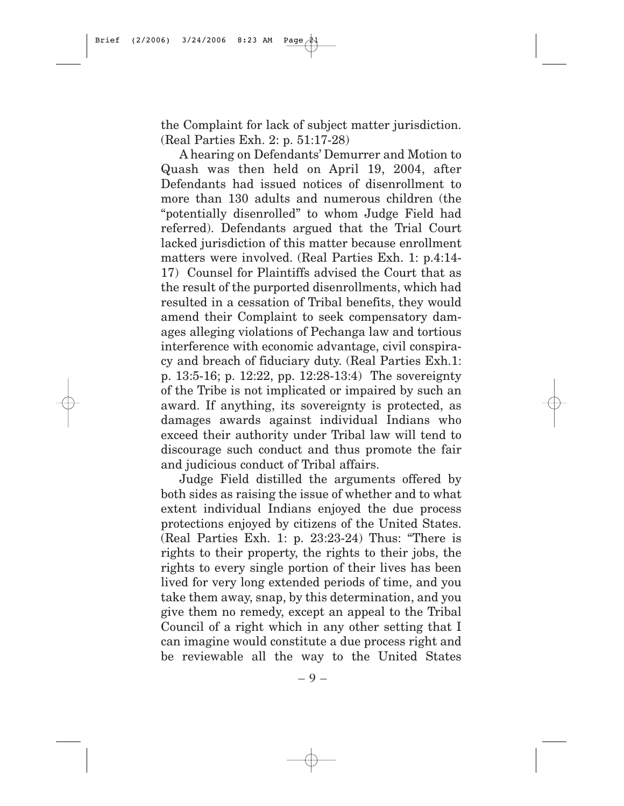the Complaint for lack of subject matter jurisdiction. (Real Parties Exh. 2: p. 51:17-28)

A hearing on Defendants' Demurrer and Motion to Quash was then held on April 19, 2004, after Defendants had issued notices of disenrollment to more than 130 adults and numerous children (the "potentially disenrolled" to whom Judge Field had referred). Defendants argued that the Trial Court lacked jurisdiction of this matter because enrollment matters were involved. (Real Parties Exh. 1: p.4:14- 17) Counsel for Plaintiffs advised the Court that as the result of the purported disenrollments, which had resulted in a cessation of Tribal benefits, they would amend their Complaint to seek compensatory damages alleging violations of Pechanga law and tortious interference with economic advantage, civil conspiracy and breach of fiduciary duty. (Real Parties Exh.1: p. 13:5-16; p. 12:22, pp. 12:28-13:4) The sovereignty of the Tribe is not implicated or impaired by such an award. If anything, its sovereignty is protected, as damages awards against individual Indians who exceed their authority under Tribal law will tend to discourage such conduct and thus promote the fair and judicious conduct of Tribal affairs.

Judge Field distilled the arguments offered by both sides as raising the issue of whether and to what extent individual Indians enjoyed the due process protections enjoyed by citizens of the United States. (Real Parties Exh. 1: p. 23:23-24) Thus: "There is rights to their property, the rights to their jobs, the rights to every single portion of their lives has been lived for very long extended periods of time, and you take them away, snap, by this determination, and you give them no remedy, except an appeal to the Tribal Council of a right which in any other setting that I can imagine would constitute a due process right and be reviewable all the way to the United States

– 9 –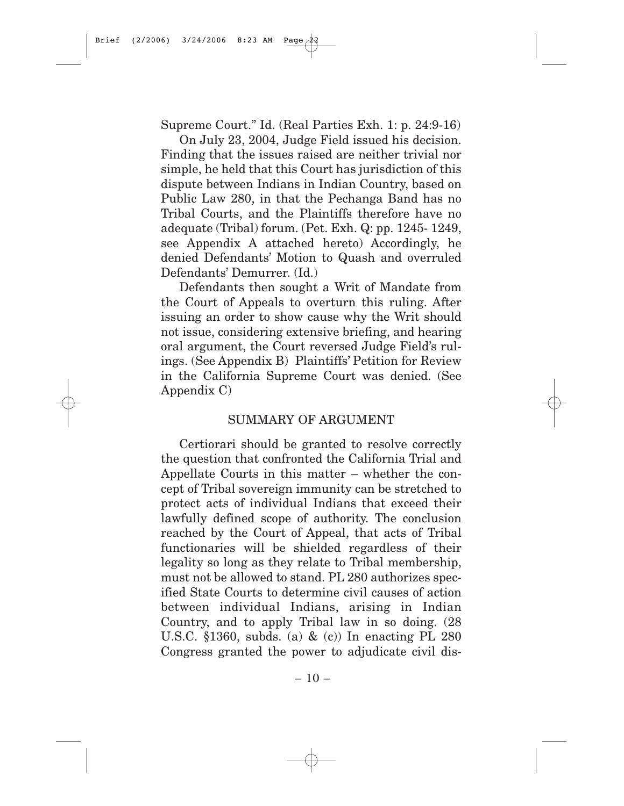Supreme Court." Id. (Real Parties Exh. 1: p. 24:9-16)

On July 23, 2004, Judge Field issued his decision. Finding that the issues raised are neither trivial nor simple, he held that this Court has jurisdiction of this dispute between Indians in Indian Country, based on Public Law 280, in that the Pechanga Band has no Tribal Courts, and the Plaintiffs therefore have no adequate (Tribal) forum. (Pet. Exh. Q: pp. 1245- 1249, see Appendix A attached hereto) Accordingly, he denied Defendants' Motion to Quash and overruled Defendants' Demurrer. (Id.)

Defendants then sought a Writ of Mandate from the Court of Appeals to overturn this ruling. After issuing an order to show cause why the Writ should not issue, considering extensive briefing, and hearing oral argument, the Court reversed Judge Field's rulings. (See Appendix B) Plaintiffs' Petition for Review in the California Supreme Court was denied. (See Appendix C)

#### SUMMARY OF ARGUMENT

Certiorari should be granted to resolve correctly the question that confronted the California Trial and Appellate Courts in this matter – whether the concept of Tribal sovereign immunity can be stretched to protect acts of individual Indians that exceed their lawfully defined scope of authority. The conclusion reached by the Court of Appeal, that acts of Tribal functionaries will be shielded regardless of their legality so long as they relate to Tribal membership, must not be allowed to stand. PL 280 authorizes specified State Courts to determine civil causes of action between individual Indians, arising in Indian Country, and to apply Tribal law in so doing. (28 U.S.C. §1360, subds. (a) & (c)) In enacting PL 280 Congress granted the power to adjudicate civil dis-

 $-10-$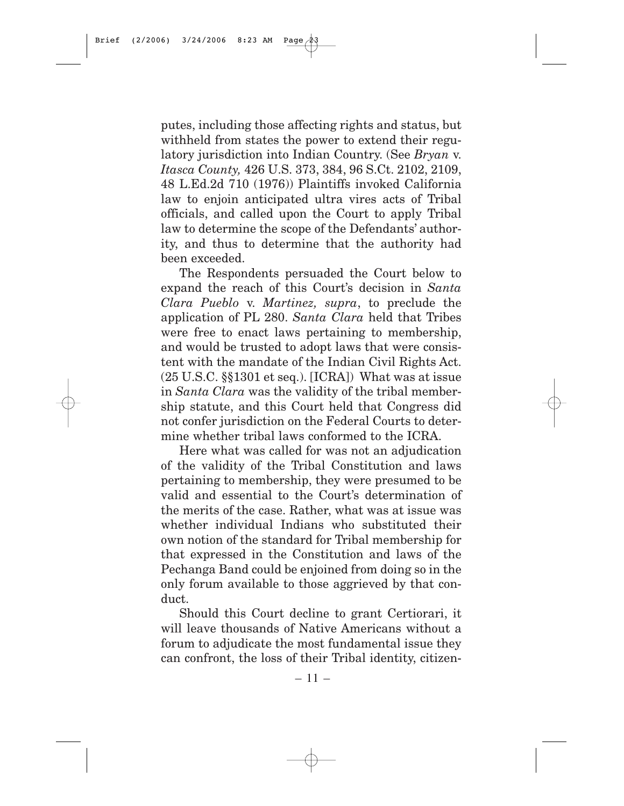putes, including those affecting rights and status, but withheld from states the power to extend their regulatory jurisdiction into Indian Country. (See *Bryan* v. *Itasca County,* 426 U.S. 373, 384, 96 S.Ct. 2102, 2109, 48 L.Ed.2d 710 (1976)) Plaintiffs invoked California law to enjoin anticipated ultra vires acts of Tribal officials, and called upon the Court to apply Tribal law to determine the scope of the Defendants' authority, and thus to determine that the authority had been exceeded.

The Respondents persuaded the Court below to expand the reach of this Court's decision in *Santa Clara Pueblo* v. *Martinez, supra*, to preclude the application of PL 280. *Santa Clara* held that Tribes were free to enact laws pertaining to membership, and would be trusted to adopt laws that were consistent with the mandate of the Indian Civil Rights Act. (25 U.S.C. §§1301 et seq.). [ICRA]) What was at issue in *Santa Clara* was the validity of the tribal membership statute, and this Court held that Congress did not confer jurisdiction on the Federal Courts to determine whether tribal laws conformed to the ICRA.

Here what was called for was not an adjudication of the validity of the Tribal Constitution and laws pertaining to membership, they were presumed to be valid and essential to the Court's determination of the merits of the case. Rather, what was at issue was whether individual Indians who substituted their own notion of the standard for Tribal membership for that expressed in the Constitution and laws of the Pechanga Band could be enjoined from doing so in the only forum available to those aggrieved by that conduct.

Should this Court decline to grant Certiorari, it will leave thousands of Native Americans without a forum to adjudicate the most fundamental issue they can confront, the loss of their Tribal identity, citizen-

 $-11-$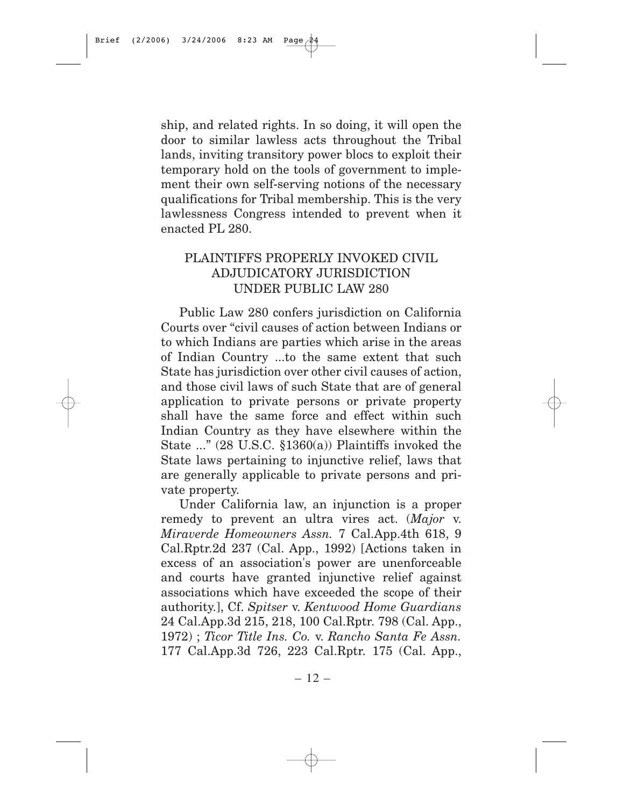ship, and related rights. In so doing, it will open the door to similar lawless acts throughout the Tribal lands, inviting transitory power blocs to exploit their temporary hold on the tools of government to implement their own self-serving notions of the necessary qualifications for Tribal membership. This is the very lawlessness Congress intended to prevent when it enacted PL 280.

## PLAINTIFFS PROPERLY INVOKED CIVIL ADJUDICATORY JURISDICTION UNDER PUBLIC LAW 280

Public Law 280 confers jurisdiction on California Courts over "civil causes of action between Indians or to which Indians are parties which arise in the areas of Indian Country ...to the same extent that such State has jurisdiction over other civil causes of action, and those civil laws of such State that are of general application to private persons or private property shall have the same force and effect within such Indian Country as they have elsewhere within the State ..." (28 U.S.C. §1360(a)) Plaintiffs invoked the State laws pertaining to injunctive relief, laws that are generally applicable to private persons and private property.

Under California law, an injunction is a proper remedy to prevent an ultra vires act. (*Major* v. *Miraverde Homeowners Assn.* 7 Cal.App.4th 618, 9 Cal.Rptr.2d 237 (Cal. App., 1992) [Actions taken in excess of an association's power are unenforceable and courts have granted injunctive relief against associations which have exceeded the scope of their authority.], Cf. *Spitser* v. *Kentwood Home Guardians* 24 Cal.App.3d 215, 218, 100 Cal.Rptr. 798 (Cal. App., 1972) ; *Ticor Title Ins. Co.* v. *Rancho Santa Fe Assn.* 177 Cal.App.3d 726, 223 Cal.Rptr. 175 (Cal. App.,

 $-12-$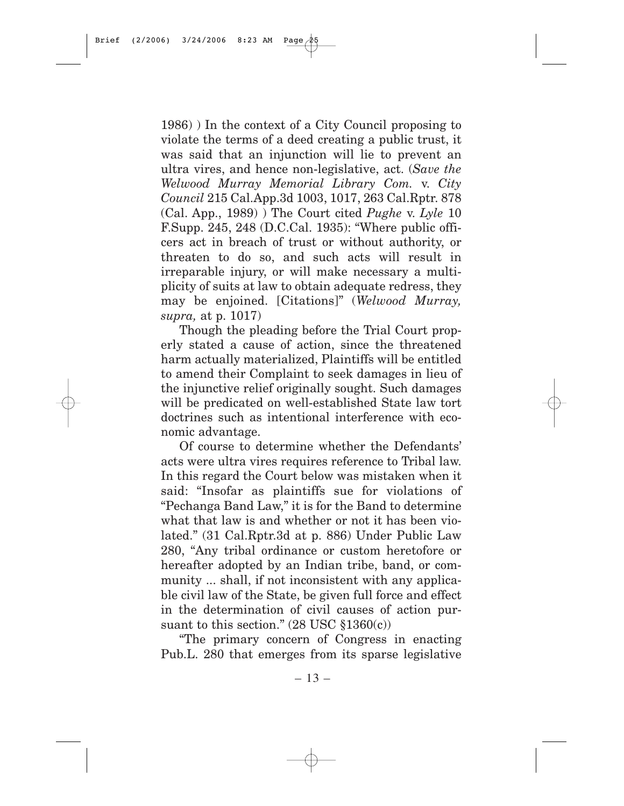1986) ) In the context of a City Council proposing to violate the terms of a deed creating a public trust, it was said that an injunction will lie to prevent an ultra vires, and hence non-legislative, act. (*Save the Welwood Murray Memorial Library Com.* v. *City Council* 215 Cal.App.3d 1003, 1017, 263 Cal.Rptr. 878 (Cal. App., 1989) ) The Court cited *Pughe* v. *Lyle* 10 F.Supp. 245, 248 (D.C.Cal. 1935): "Where public officers act in breach of trust or without authority, or threaten to do so, and such acts will result in irreparable injury, or will make necessary a multiplicity of suits at law to obtain adequate redress, they may be enjoined. [Citations]" (*Welwood Murray, supra,* at p. 1017)

Though the pleading before the Trial Court properly stated a cause of action, since the threatened harm actually materialized, Plaintiffs will be entitled to amend their Complaint to seek damages in lieu of the injunctive relief originally sought. Such damages will be predicated on well-established State law tort doctrines such as intentional interference with economic advantage.

Of course to determine whether the Defendants' acts were ultra vires requires reference to Tribal law. In this regard the Court below was mistaken when it said: "Insofar as plaintiffs sue for violations of "Pechanga Band Law," it is for the Band to determine what that law is and whether or not it has been violated." (31 Cal.Rptr.3d at p. 886) Under Public Law 280, "Any tribal ordinance or custom heretofore or hereafter adopted by an Indian tribe, band, or community ... shall, if not inconsistent with any applicable civil law of the State, be given full force and effect in the determination of civil causes of action pursuant to this section."  $(28 \text{ USC} \text{ $1360(c)} )$ 

"The primary concern of Congress in enacting Pub.L. 280 that emerges from its sparse legislative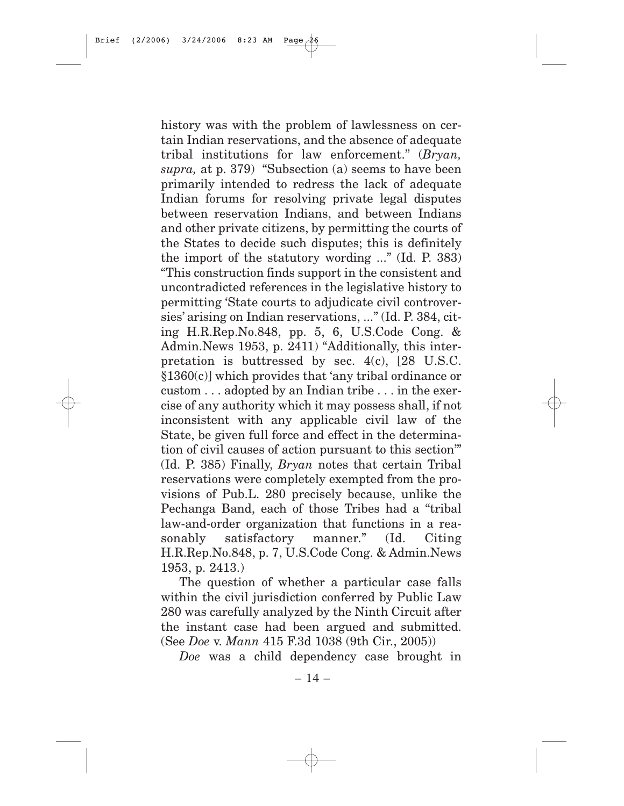history was with the problem of lawlessness on certain Indian reservations, and the absence of adequate tribal institutions for law enforcement." (*Bryan, supra,* at p. 379) "Subsection (a) seems to have been primarily intended to redress the lack of adequate Indian forums for resolving private legal disputes between reservation Indians, and between Indians and other private citizens, by permitting the courts of the States to decide such disputes; this is definitely the import of the statutory wording ..." (Id. P. 383) "This construction finds support in the consistent and uncontradicted references in the legislative history to permitting 'State courts to adjudicate civil controversies' arising on Indian reservations, ..." (Id. P. 384, citing H.R.Rep.No.848, pp. 5, 6, U.S.Code Cong. & Admin.News 1953, p. 2411) "Additionally, this interpretation is buttressed by sec.  $4(c)$ , [28 U.S.C.] §1360(c)] which provides that 'any tribal ordinance or custom . . . adopted by an Indian tribe . . . in the exercise of any authority which it may possess shall, if not inconsistent with any applicable civil law of the State, be given full force and effect in the determination of civil causes of action pursuant to this section'" (Id. P. 385) Finally, *Bryan* notes that certain Tribal reservations were completely exempted from the provisions of Pub.L. 280 precisely because, unlike the Pechanga Band, each of those Tribes had a "tribal law-and-order organization that functions in a reasonably satisfactory manner." (Id. Citing H.R.Rep.No.848, p. 7, U.S.Code Cong. & Admin.News 1953, p. 2413.)

The question of whether a particular case falls within the civil jurisdiction conferred by Public Law 280 was carefully analyzed by the Ninth Circuit after the instant case had been argued and submitted. (See *Doe* v. *Mann* 415 F.3d 1038 (9th Cir., 2005))

*Doe* was a child dependency case brought in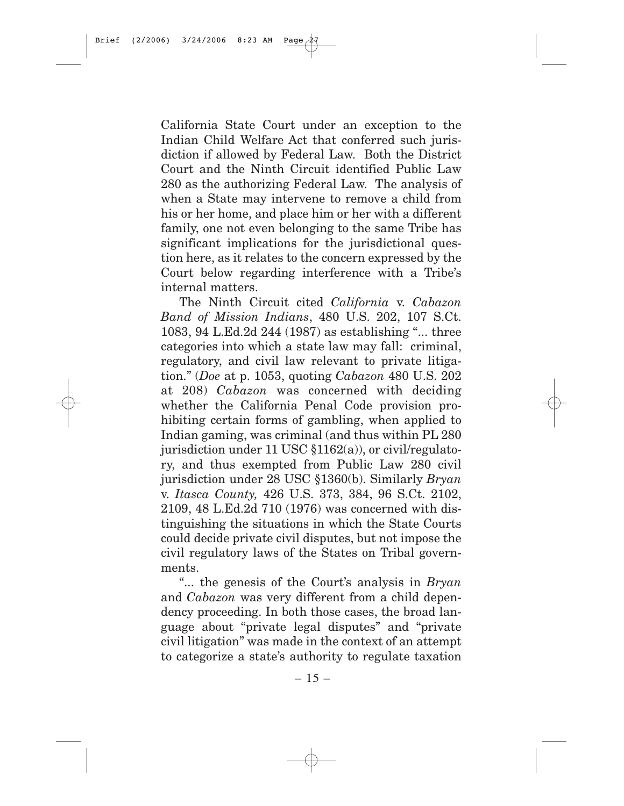California State Court under an exception to the Indian Child Welfare Act that conferred such jurisdiction if allowed by Federal Law. Both the District Court and the Ninth Circuit identified Public Law 280 as the authorizing Federal Law. The analysis of when a State may intervene to remove a child from his or her home, and place him or her with a different family, one not even belonging to the same Tribe has significant implications for the jurisdictional question here, as it relates to the concern expressed by the Court below regarding interference with a Tribe's internal matters.

The Ninth Circuit cited *California* v. *Cabazon Band of Mission Indians*, 480 U.S. 202, 107 S.Ct. 1083, 94 L.Ed.2d 244 (1987) as establishing "... three categories into which a state law may fall: criminal, regulatory, and civil law relevant to private litigation." (*Doe* at p. 1053, quoting *Cabazon* 480 U.S. 202 at 208) *Cabazon* was concerned with deciding whether the California Penal Code provision prohibiting certain forms of gambling, when applied to Indian gaming, was criminal (and thus within PL 280 jurisdiction under 11 USC §1162(a)), or civil/regulatory, and thus exempted from Public Law 280 civil jurisdiction under 28 USC §1360(b). Similarly *Bryan* v. *Itasca County,* 426 U.S. 373, 384, 96 S.Ct. 2102, 2109, 48 L.Ed.2d 710 (1976) was concerned with distinguishing the situations in which the State Courts could decide private civil disputes, but not impose the civil regulatory laws of the States on Tribal governments.

"... the genesis of the Court's analysis in *Bryan* and *Cabazon* was very different from a child dependency proceeding. In both those cases, the broad language about "private legal disputes" and "private civil litigation" was made in the context of an attempt to categorize a state's authority to regulate taxation

 $-15-$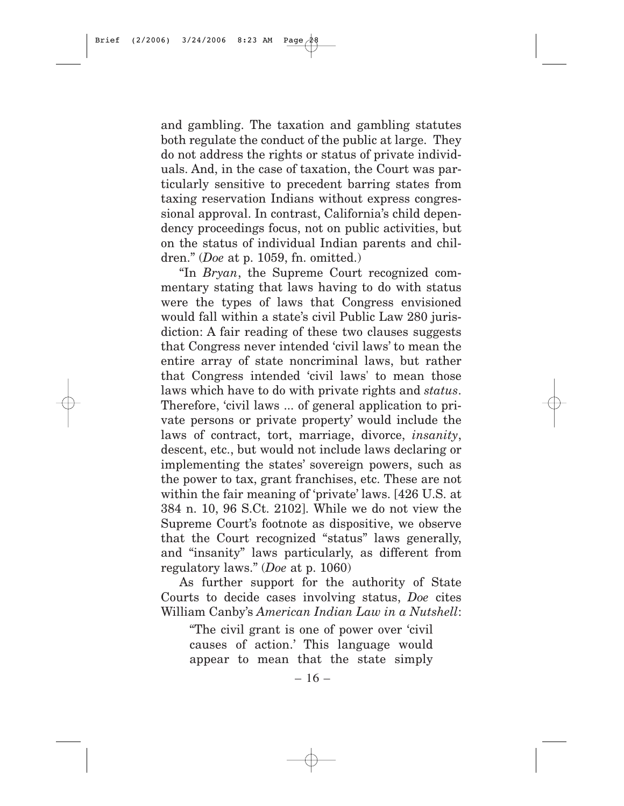and gambling. The taxation and gambling statutes both regulate the conduct of the public at large. They do not address the rights or status of private individuals. And, in the case of taxation, the Court was particularly sensitive to precedent barring states from taxing reservation Indians without express congressional approval. In contrast, California's child dependency proceedings focus, not on public activities, but on the status of individual Indian parents and children." (*Doe* at p. 1059, fn. omitted.)

"In *Bryan*, the Supreme Court recognized commentary stating that laws having to do with status were the types of laws that Congress envisioned would fall within a state's civil Public Law 280 jurisdiction: A fair reading of these two clauses suggests that Congress never intended 'civil laws' to mean the entire array of state noncriminal laws, but rather that Congress intended 'civil laws' to mean those laws which have to do with private rights and *status*. Therefore, 'civil laws ... of general application to private persons or private property' would include the laws of contract, tort, marriage, divorce, *insanity*, descent, etc., but would not include laws declaring or implementing the states' sovereign powers, such as the power to tax, grant franchises, etc. These are not within the fair meaning of 'private' laws. [426 U.S. at 384 n. 10, 96 S.Ct. 2102]. While we do not view the Supreme Court's footnote as dispositive, we observe that the Court recognized "status" laws generally, and "insanity" laws particularly, as different from regulatory laws." (*Doe* at p. 1060)

As further support for the authority of State Courts to decide cases involving status, *Doe* cites William Canby's *American Indian Law in a Nutshell*:

"The civil grant is one of power over 'civil causes of action.' This language would appear to mean that the state simply

 $-16-$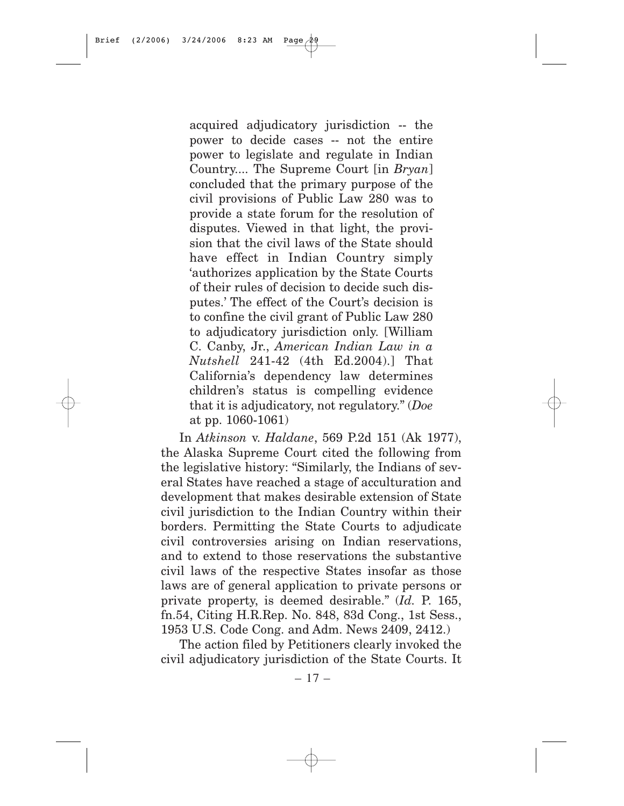acquired adjudicatory jurisdiction -- the power to decide cases -- not the entire power to legislate and regulate in Indian Country.... The Supreme Court [in *Bryan*] concluded that the primary purpose of the civil provisions of Public Law 280 was to provide a state forum for the resolution of disputes. Viewed in that light, the provision that the civil laws of the State should have effect in Indian Country simply 'authorizes application by the State Courts of their rules of decision to decide such disputes.' The effect of the Court's decision is to confine the civil grant of Public Law 280 to adjudicatory jurisdiction only. [William C. Canby, Jr., *American Indian Law in a Nutshell* 241-42 (4th Ed.2004).] That California's dependency law determines children's status is compelling evidence that it is adjudicatory, not regulatory." (*Doe* at pp. 1060-1061)

In *Atkinson* v. *Haldane*, 569 P.2d 151 (Ak 1977), the Alaska Supreme Court cited the following from the legislative history: "Similarly, the Indians of several States have reached a stage of acculturation and development that makes desirable extension of State civil jurisdiction to the Indian Country within their borders. Permitting the State Courts to adjudicate civil controversies arising on Indian reservations, and to extend to those reservations the substantive civil laws of the respective States insofar as those laws are of general application to private persons or private property, is deemed desirable." (*Id.* P. 165, fn.54, Citing H.R.Rep. No. 848, 83d Cong., 1st Sess., 1953 U.S. Code Cong. and Adm. News 2409, 2412.)

The action filed by Petitioners clearly invoked the civil adjudicatory jurisdiction of the State Courts. It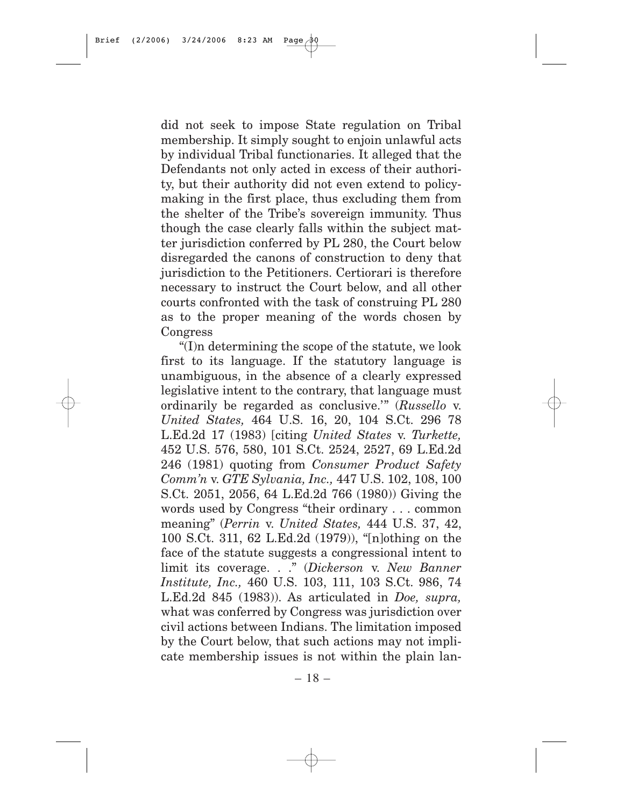did not seek to impose State regulation on Tribal membership. It simply sought to enjoin unlawful acts by individual Tribal functionaries. It alleged that the Defendants not only acted in excess of their authority, but their authority did not even extend to policymaking in the first place, thus excluding them from the shelter of the Tribe's sovereign immunity. Thus though the case clearly falls within the subject matter jurisdiction conferred by PL 280, the Court below disregarded the canons of construction to deny that jurisdiction to the Petitioners. Certiorari is therefore necessary to instruct the Court below, and all other courts confronted with the task of construing PL 280 as to the proper meaning of the words chosen by Congress

"(I)n determining the scope of the statute, we look first to its language. If the statutory language is unambiguous, in the absence of a clearly expressed legislative intent to the contrary, that language must ordinarily be regarded as conclusive.'" (*Russello* v. *United States,* 464 U.S. 16, 20, 104 S.Ct. 296 78 L.Ed.2d 17 (1983) [citing *United States* v. *Turkette,* 452 U.S. 576, 580, 101 S.Ct. 2524, 2527, 69 L.Ed.2d 246 (1981) quoting from *Consumer Product Safety Comm'n* v. *GTE Sylvania, Inc.,* 447 U.S. 102, 108, 100 S.Ct. 2051, 2056, 64 L.Ed.2d 766 (1980)) Giving the words used by Congress "their ordinary . . . common meaning" (*Perrin* v. *United States,* 444 U.S. 37, 42, 100 S.Ct. 311, 62 L.Ed.2d (1979)), "[n]othing on the face of the statute suggests a congressional intent to limit its coverage. . ." (*Dickerson* v. *New Banner Institute, Inc.,* 460 U.S. 103, 111, 103 S.Ct. 986, 74 L.Ed.2d 845 (1983)). As articulated in *Doe, supra,* what was conferred by Congress was jurisdiction over civil actions between Indians. The limitation imposed by the Court below, that such actions may not implicate membership issues is not within the plain lan-

 $-18-$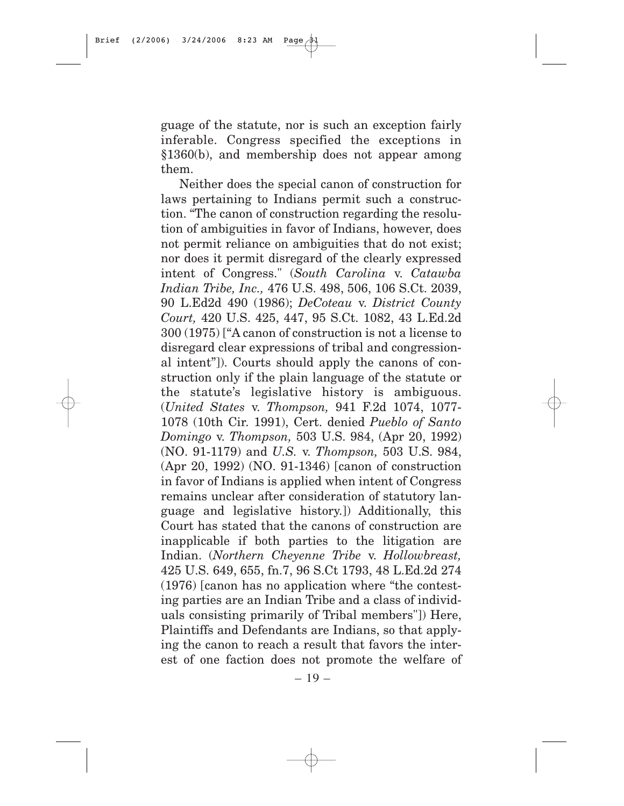guage of the statute, nor is such an exception fairly inferable. Congress specified the exceptions in §1360(b), and membership does not appear among them.

Neither does the special canon of construction for laws pertaining to Indians permit such a construction. "The canon of construction regarding the resolution of ambiguities in favor of Indians, however, does not permit reliance on ambiguities that do not exist; nor does it permit disregard of the clearly expressed intent of Congress." (*South Carolina* v. *Catawba Indian Tribe, Inc.,* 476 U.S. 498, 506, 106 S.Ct. 2039, 90 L.Ed2d 490 (1986); *DeCoteau* v. *District County Court,* 420 U.S. 425, 447, 95 S.Ct. 1082, 43 L.Ed.2d 300 (1975) ["A canon of construction is not a license to disregard clear expressions of tribal and congressional intent"]). Courts should apply the canons of construction only if the plain language of the statute or the statute's legislative history is ambiguous. (*United States* v. *Thompson,* 941 F.2d 1074, 1077- 1078 (10th Cir. 1991), Cert. denied *Pueblo of Santo Domingo* v. *Thompson,* 503 U.S. 984, (Apr 20, 1992) (NO. 91-1179) and *U.S.* v. *Thompson,* 503 U.S. 984, (Apr 20, 1992) (NO. 91-1346) [canon of construction in favor of Indians is applied when intent of Congress remains unclear after consideration of statutory language and legislative history.]) Additionally, this Court has stated that the canons of construction are inapplicable if both parties to the litigation are Indian. (*Northern Cheyenne Tribe* v. *Hollowbreast,* 425 U.S. 649, 655, fn.7, 96 S.Ct 1793, 48 L.Ed.2d 274 (1976) [canon has no application where "the contesting parties are an Indian Tribe and a class of individuals consisting primarily of Tribal members"]) Here, Plaintiffs and Defendants are Indians, so that applying the canon to reach a result that favors the interest of one faction does not promote the welfare of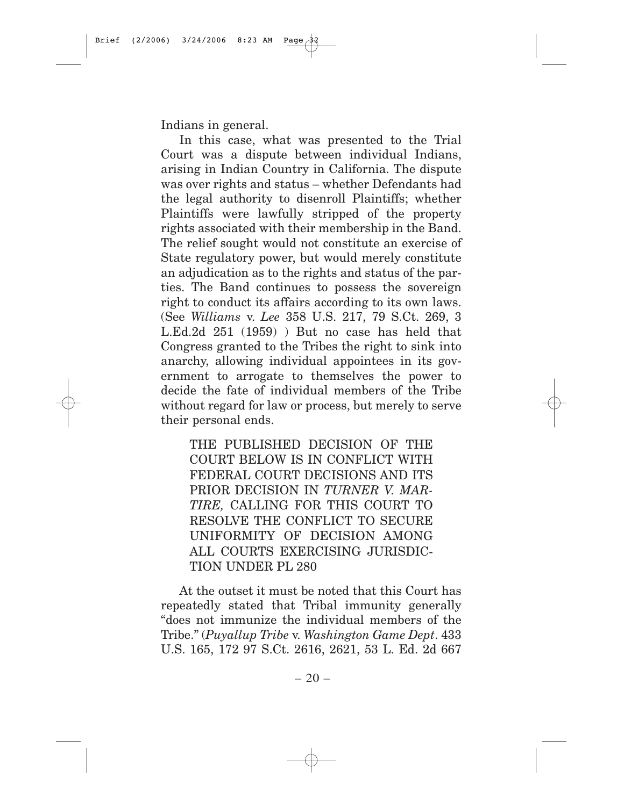Indians in general.

In this case, what was presented to the Trial Court was a dispute between individual Indians, arising in Indian Country in California. The dispute was over rights and status – whether Defendants had the legal authority to disenroll Plaintiffs; whether Plaintiffs were lawfully stripped of the property rights associated with their membership in the Band. The relief sought would not constitute an exercise of State regulatory power, but would merely constitute an adjudication as to the rights and status of the parties. The Band continues to possess the sovereign right to conduct its affairs according to its own laws. (See *Williams* v. *Lee* 358 U.S. 217, 79 S.Ct. 269, 3 L.Ed.2d 251 (1959) ) But no case has held that Congress granted to the Tribes the right to sink into anarchy, allowing individual appointees in its government to arrogate to themselves the power to decide the fate of individual members of the Tribe without regard for law or process, but merely to serve their personal ends.

THE PUBLISHED DECISION OF THE COURT BELOW IS IN CONFLICT WITH FEDERAL COURT DECISIONS AND ITS PRIOR DECISION IN *TURNER V. MAR-TIRE,* CALLING FOR THIS COURT TO RESOLVE THE CONFLICT TO SECURE UNIFORMITY OF DECISION AMONG ALL COURTS EXERCISING JURISDIC-TION UNDER PL 280

At the outset it must be noted that this Court has repeatedly stated that Tribal immunity generally "does not immunize the individual members of the Tribe." (*Puyallup Tribe* v. *Washington Game Dept*. 433 U.S. 165, 172 97 S.Ct. 2616, 2621, 53 L. Ed. 2d 667

 $-20-$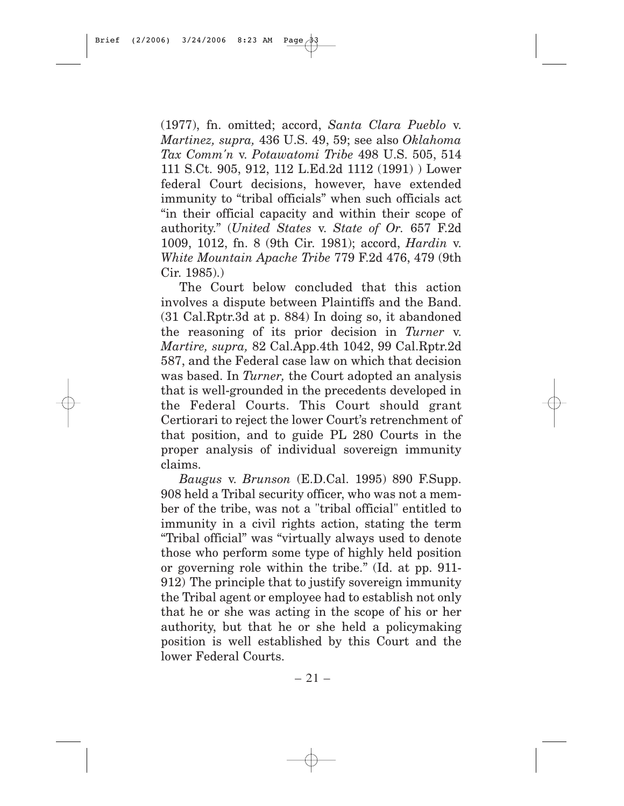(1977), fn. omitted; accord, *Santa Clara Pueblo* v. *Martinez, supra,* 436 U.S. 49, 59; see also *Oklahoma Tax Comm'n* v. *Potawatomi Tribe* 498 U.S. 505, 514 111 S.Ct. 905, 912, 112 L.Ed.2d 1112 (1991) ) Lower federal Court decisions, however, have extended immunity to "tribal officials" when such officials act "in their official capacity and within their scope of authority." (*United States* v. *State of Or.* 657 F.2d 1009, 1012, fn. 8 (9th Cir. 1981); accord, *Hardin* v. *White Mountain Apache Tribe* 779 F.2d 476, 479 (9th Cir. 1985).)

The Court below concluded that this action involves a dispute between Plaintiffs and the Band. (31 Cal.Rptr.3d at p. 884) In doing so, it abandoned the reasoning of its prior decision in *Turner* v. *Martire, supra,* 82 Cal.App.4th 1042, 99 Cal.Rptr.2d 587, and the Federal case law on which that decision was based. In *Turner,* the Court adopted an analysis that is well-grounded in the precedents developed in the Federal Courts. This Court should grant Certiorari to reject the lower Court's retrenchment of that position, and to guide PL 280 Courts in the proper analysis of individual sovereign immunity claims.

*Baugus* v. *Brunson* (E.D.Cal. 1995) 890 F.Supp. 908 held a Tribal security officer, who was not a member of the tribe, was not a "tribal official" entitled to immunity in a civil rights action, stating the term "Tribal official" was "virtually always used to denote those who perform some type of highly held position or governing role within the tribe." (Id. at pp. 911- 912) The principle that to justify sovereign immunity the Tribal agent or employee had to establish not only that he or she was acting in the scope of his or her authority, but that he or she held a policymaking position is well established by this Court and the lower Federal Courts.

 $-21-$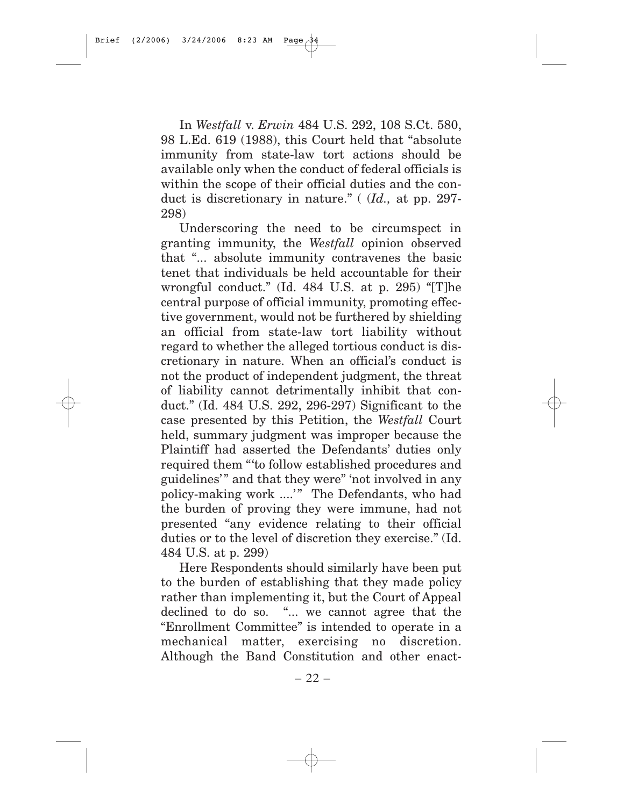In *Westfall* v. *Erwin* 484 U.S. 292, 108 S.Ct. 580, 98 L.Ed. 619 (1988), this Court held that "absolute immunity from state-law tort actions should be available only when the conduct of federal officials is within the scope of their official duties and the conduct is discretionary in nature." ( (*Id.,* at pp. 297- 298)

Underscoring the need to be circumspect in granting immunity, the *Westfall* opinion observed that "... absolute immunity contravenes the basic tenet that individuals be held accountable for their wrongful conduct." (Id. 484 U.S. at p. 295) "[T]he central purpose of official immunity, promoting effective government, would not be furthered by shielding an official from state-law tort liability without regard to whether the alleged tortious conduct is discretionary in nature. When an official's conduct is not the product of independent judgment, the threat of liability cannot detrimentally inhibit that conduct." (Id. 484 U.S. 292, 296-297) Significant to the case presented by this Petition, the *Westfall* Court held, summary judgment was improper because the Plaintiff had asserted the Defendants' duties only required them "'to follow established procedures and guidelines'" and that they were" 'not involved in any policy-making work ....'" The Defendants, who had the burden of proving they were immune, had not presented "any evidence relating to their official duties or to the level of discretion they exercise." (Id. 484 U.S. at p. 299)

Here Respondents should similarly have been put to the burden of establishing that they made policy rather than implementing it, but the Court of Appeal declined to do so. "... we cannot agree that the "Enrollment Committee" is intended to operate in a mechanical matter, exercising no discretion. Although the Band Constitution and other enact-

 $-22-$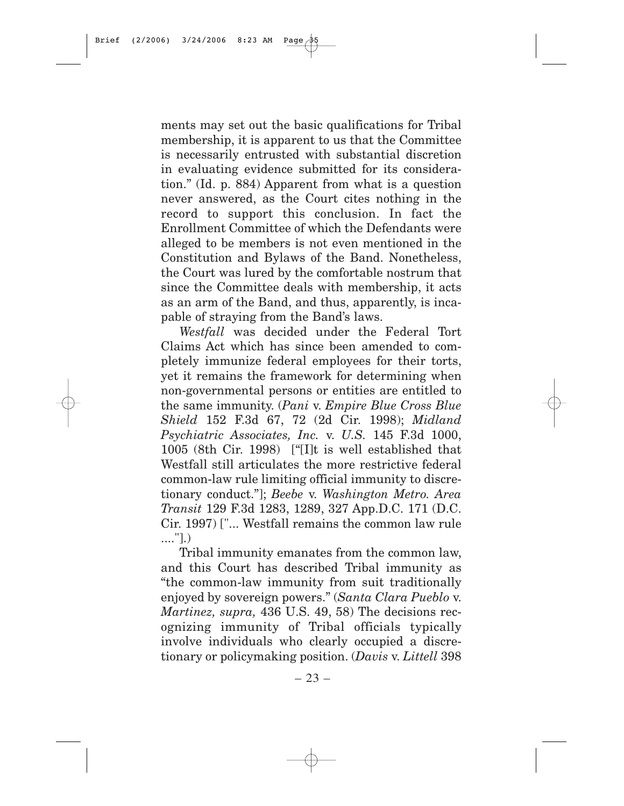ments may set out the basic qualifications for Tribal membership, it is apparent to us that the Committee is necessarily entrusted with substantial discretion in evaluating evidence submitted for its consideration." (Id. p. 884) Apparent from what is a question never answered, as the Court cites nothing in the record to support this conclusion. In fact the Enrollment Committee of which the Defendants were alleged to be members is not even mentioned in the Constitution and Bylaws of the Band. Nonetheless, the Court was lured by the comfortable nostrum that since the Committee deals with membership, it acts as an arm of the Band, and thus, apparently, is incapable of straying from the Band's laws.

*Westfall* was decided under the Federal Tort Claims Act which has since been amended to completely immunize federal employees for their torts, yet it remains the framework for determining when non-governmental persons or entities are entitled to the same immunity. (*Pani* v. *Empire Blue Cross Blue Shield* 152 F.3d 67, 72 (2d Cir. 1998); *Midland Psychiatric Associates, Inc.* v. *U.S.* 145 F.3d 1000, 1005 (8th Cir. 1998) ["[I]t is well established that Westfall still articulates the more restrictive federal common-law rule limiting official immunity to discretionary conduct."]; *Beebe* v. *Washington Metro. Area Transit* 129 F.3d 1283, 1289, 327 App.D.C. 171 (D.C. Cir. 1997) ["... Westfall remains the common law rule ...."].)

Tribal immunity emanates from the common law, and this Court has described Tribal immunity as "the common-law immunity from suit traditionally enjoyed by sovereign powers." (*Santa Clara Pueblo* v. *Martinez, supra,* 436 U.S. 49, 58) The decisions recognizing immunity of Tribal officials typically involve individuals who clearly occupied a discretionary or policymaking position. (*Davis* v. *Littell* 398

– 23 –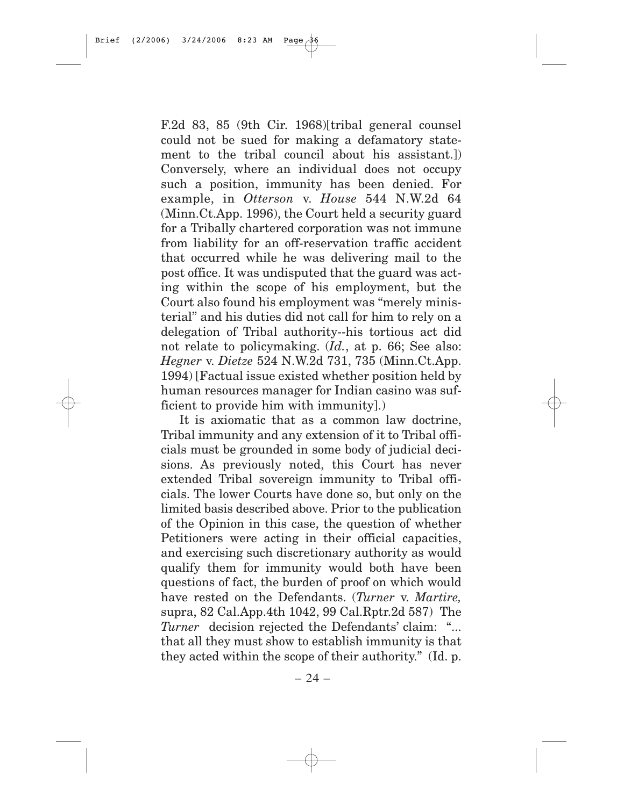F.2d 83, 85 (9th Cir. 1968)[tribal general counsel could not be sued for making a defamatory statement to the tribal council about his assistant.]) Conversely, where an individual does not occupy such a position, immunity has been denied. For example, in *Otterson* v. *House* 544 N.W.2d 64 (Minn.Ct.App. 1996), the Court held a security guard for a Tribally chartered corporation was not immune from liability for an off-reservation traffic accident that occurred while he was delivering mail to the post office. It was undisputed that the guard was acting within the scope of his employment, but the Court also found his employment was "merely ministerial" and his duties did not call for him to rely on a delegation of Tribal authority--his tortious act did not relate to policymaking. (*Id.*, at p. 66; See also: *Hegner* v. *Dietze* 524 N.W.2d 731, 735 (Minn.Ct.App. 1994) [Factual issue existed whether position held by human resources manager for Indian casino was sufficient to provide him with immunity].)

It is axiomatic that as a common law doctrine, Tribal immunity and any extension of it to Tribal officials must be grounded in some body of judicial decisions. As previously noted, this Court has never extended Tribal sovereign immunity to Tribal officials. The lower Courts have done so, but only on the limited basis described above. Prior to the publication of the Opinion in this case, the question of whether Petitioners were acting in their official capacities, and exercising such discretionary authority as would qualify them for immunity would both have been questions of fact, the burden of proof on which would have rested on the Defendants. (*Turner* v. *Martire,* supra, 82 Cal.App.4th 1042, 99 Cal.Rptr.2d 587) The *Turner* decision rejected the Defendants' claim: "... that all they must show to establish immunity is that they acted within the scope of their authority." (Id. p.

– 24 –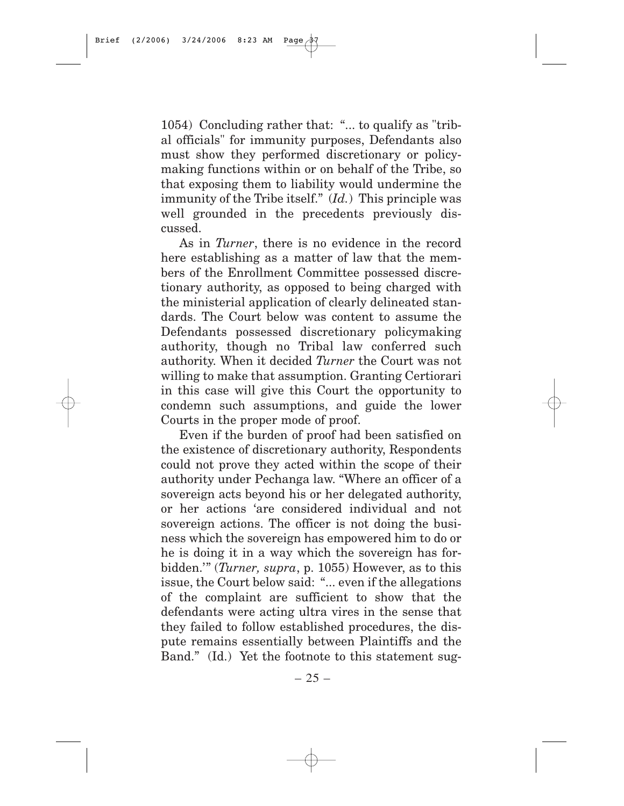1054) Concluding rather that: "... to qualify as "tribal officials" for immunity purposes, Defendants also must show they performed discretionary or policymaking functions within or on behalf of the Tribe, so that exposing them to liability would undermine the immunity of the Tribe itself." (*Id.*) This principle was well grounded in the precedents previously discussed.

As in *Turner*, there is no evidence in the record here establishing as a matter of law that the members of the Enrollment Committee possessed discretionary authority, as opposed to being charged with the ministerial application of clearly delineated standards. The Court below was content to assume the Defendants possessed discretionary policymaking authority, though no Tribal law conferred such authority. When it decided *Turner* the Court was not willing to make that assumption. Granting Certiorari in this case will give this Court the opportunity to condemn such assumptions, and guide the lower Courts in the proper mode of proof.

Even if the burden of proof had been satisfied on the existence of discretionary authority, Respondents could not prove they acted within the scope of their authority under Pechanga law. "Where an officer of a sovereign acts beyond his or her delegated authority, or her actions 'are considered individual and not sovereign actions. The officer is not doing the business which the sovereign has empowered him to do or he is doing it in a way which the sovereign has forbidden.'" (*Turner, supra*, p. 1055) However, as to this issue, the Court below said: "... even if the allegations of the complaint are sufficient to show that the defendants were acting ultra vires in the sense that they failed to follow established procedures, the dispute remains essentially between Plaintiffs and the Band." (Id.) Yet the footnote to this statement sug-

 $-25-$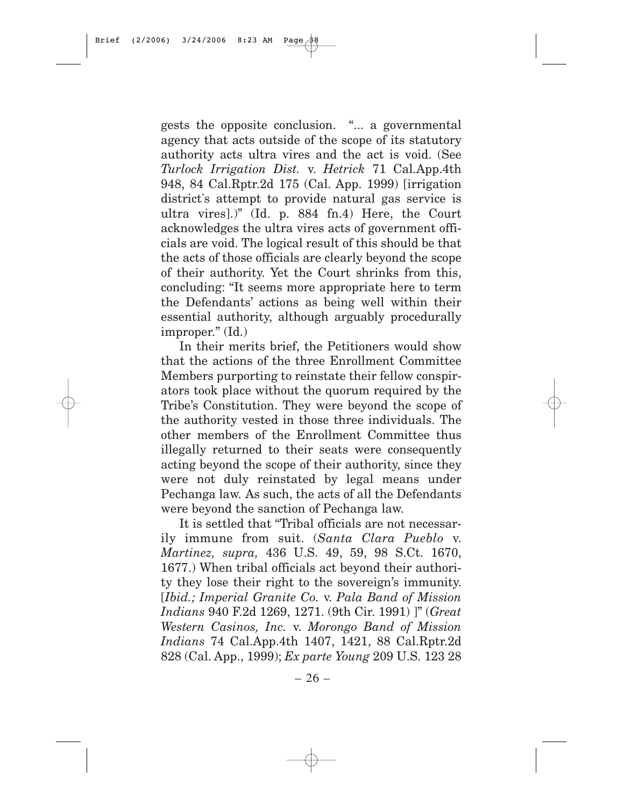gests the opposite conclusion. "... a governmental agency that acts outside of the scope of its statutory authority acts ultra vires and the act is void. (See *Turlock Irrigation Dist.* v. *Hetrick* 71 Cal.App.4th 948, 84 Cal.Rptr.2d 175 (Cal. App. 1999) [irrigation district's attempt to provide natural gas service is ultra vires].)" (Id. p. 884 fn.4) Here, the Court acknowledges the ultra vires acts of government officials are void. The logical result of this should be that the acts of those officials are clearly beyond the scope of their authority. Yet the Court shrinks from this, concluding: "It seems more appropriate here to term the Defendants' actions as being well within their essential authority, although arguably procedurally improper." (Id.)

In their merits brief, the Petitioners would show that the actions of the three Enrollment Committee Members purporting to reinstate their fellow conspirators took place without the quorum required by the Tribe's Constitution. They were beyond the scope of the authority vested in those three individuals. The other members of the Enrollment Committee thus illegally returned to their seats were consequently acting beyond the scope of their authority, since they were not duly reinstated by legal means under Pechanga law. As such, the acts of all the Defendants were beyond the sanction of Pechanga law.

It is settled that "Tribal officials are not necessarily immune from suit. (*Santa Clara Pueblo* v. *Martinez, supra,* 436 U.S. 49, 59, 98 S.Ct. 1670, 1677.) When tribal officials act beyond their authority they lose their right to the sovereign's immunity. [*Ibid.; Imperial Granite Co.* v. *Pala Band of Mission Indians* 940 F.2d 1269, 1271. (9th Cir. 1991) ]" (*Great Western Casinos, Inc.* v. *Morongo Band of Mission Indians* 74 Cal.App.4th 1407, 1421, 88 Cal.Rptr.2d 828 (Cal. App., 1999); *Ex parte Young* 209 U.S. 123 28

 $-26-$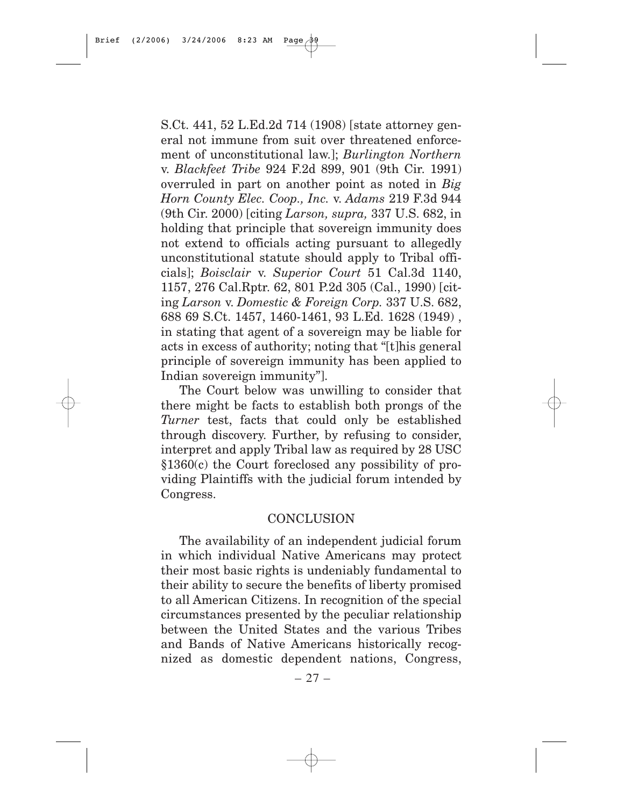S.Ct. 441, 52 L.Ed.2d 714 (1908) [state attorney general not immune from suit over threatened enforcement of unconstitutional law.]; *Burlington Northern* v. *Blackfeet Tribe* 924 F.2d 899, 901 (9th Cir. 1991) overruled in part on another point as noted in *Big Horn County Elec. Coop., Inc.* v. *Adams* 219 F.3d 944 (9th Cir. 2000) [citing *Larson, supra,* 337 U.S. 682, in holding that principle that sovereign immunity does not extend to officials acting pursuant to allegedly unconstitutional statute should apply to Tribal officials]; *Boisclair* v. *Superior Court* 51 Cal.3d 1140, 1157, 276 Cal.Rptr. 62, 801 P.2d 305 (Cal., 1990) [citing *Larson* v. *Domestic & Foreign Corp.* 337 U.S. 682, 688 69 S.Ct. 1457, 1460-1461, 93 L.Ed. 1628 (1949) , in stating that agent of a sovereign may be liable for acts in excess of authority; noting that "[t]his general principle of sovereign immunity has been applied to Indian sovereign immunity"].

The Court below was unwilling to consider that there might be facts to establish both prongs of the *Turner* test, facts that could only be established through discovery. Further, by refusing to consider, interpret and apply Tribal law as required by 28 USC §1360(c) the Court foreclosed any possibility of providing Plaintiffs with the judicial forum intended by Congress.

#### **CONCLUSION**

The availability of an independent judicial forum in which individual Native Americans may protect their most basic rights is undeniably fundamental to their ability to secure the benefits of liberty promised to all American Citizens. In recognition of the special circumstances presented by the peculiar relationship between the United States and the various Tribes and Bands of Native Americans historically recognized as domestic dependent nations, Congress,

– 27 –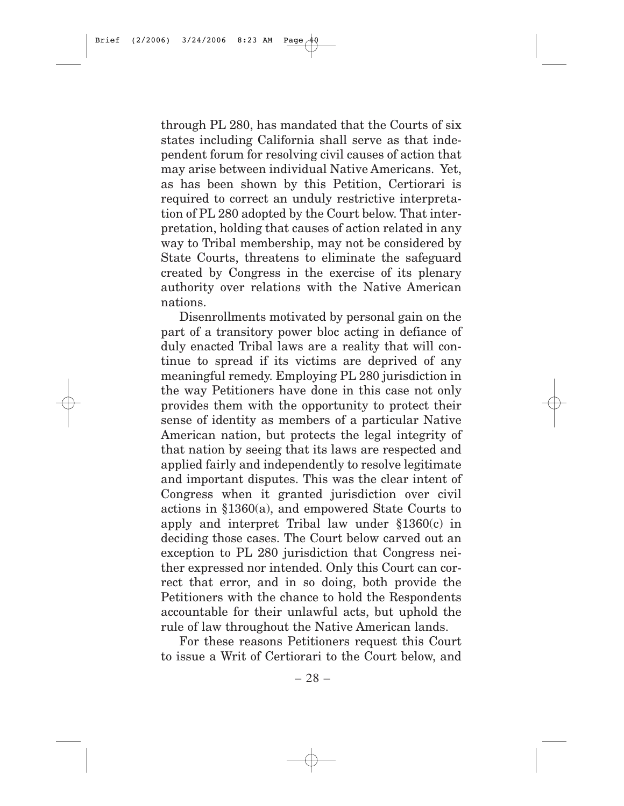through PL 280, has mandated that the Courts of six states including California shall serve as that independent forum for resolving civil causes of action that may arise between individual Native Americans. Yet, as has been shown by this Petition, Certiorari is required to correct an unduly restrictive interpretation of PL 280 adopted by the Court below. That interpretation, holding that causes of action related in any way to Tribal membership, may not be considered by State Courts, threatens to eliminate the safeguard created by Congress in the exercise of its plenary authority over relations with the Native American nations.

Disenrollments motivated by personal gain on the part of a transitory power bloc acting in defiance of duly enacted Tribal laws are a reality that will continue to spread if its victims are deprived of any meaningful remedy. Employing PL 280 jurisdiction in the way Petitioners have done in this case not only provides them with the opportunity to protect their sense of identity as members of a particular Native American nation, but protects the legal integrity of that nation by seeing that its laws are respected and applied fairly and independently to resolve legitimate and important disputes. This was the clear intent of Congress when it granted jurisdiction over civil actions in §1360(a), and empowered State Courts to apply and interpret Tribal law under §1360(c) in deciding those cases. The Court below carved out an exception to PL 280 jurisdiction that Congress neither expressed nor intended. Only this Court can correct that error, and in so doing, both provide the Petitioners with the chance to hold the Respondents accountable for their unlawful acts, but uphold the rule of law throughout the Native American lands.

For these reasons Petitioners request this Court to issue a Writ of Certiorari to the Court below, and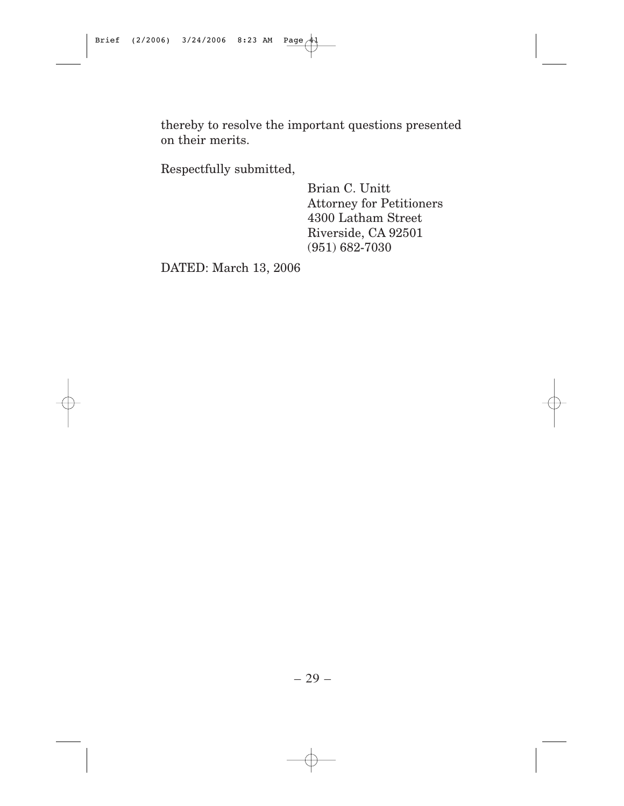thereby to resolve the important questions presented on their merits.

Respectfully submitted,

Brian C. Unitt Attorney for Petitioners 4300 Latham Street Riverside, CA 92501 (951) 682-7030

DATED: March 13, 2006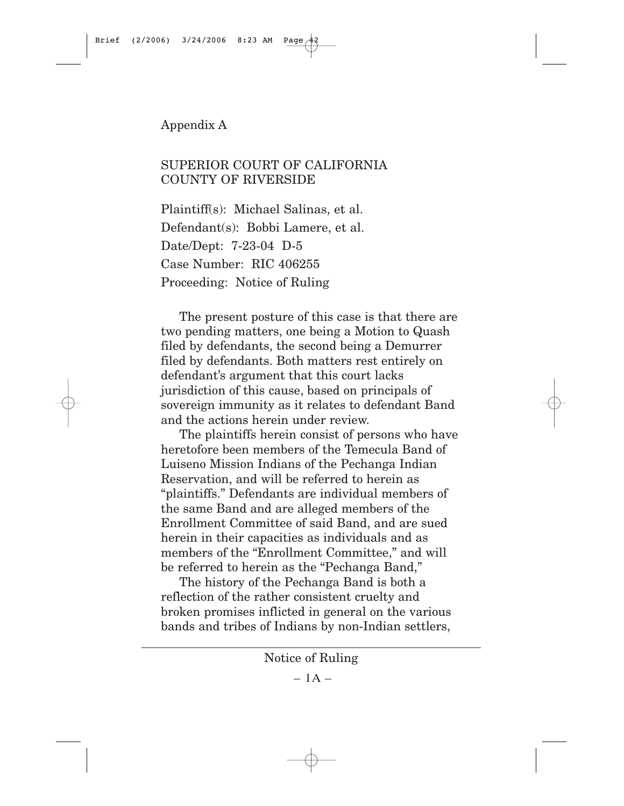## Appendix A

## SUPERIOR COURT OF CALIFORNIA COUNTY OF RIVERSIDE

Plaintiff(s): Michael Salinas, et al. Defendant(s): Bobbi Lamere, et al. Date/Dept: 7-23-04 D-5 Case Number: RIC 406255 Proceeding: Notice of Ruling

The present posture of this case is that there are two pending matters, one being a Motion to Quash filed by defendants, the second being a Demurrer filed by defendants. Both matters rest entirely on defendant's argument that this court lacks jurisdiction of this cause, based on principals of sovereign immunity as it relates to defendant Band and the actions herein under review.

The plaintiffs herein consist of persons who have heretofore been members of the Temecula Band of Luiseno Mission Indians of the Pechanga Indian Reservation, and will be referred to herein as "plaintiffs." Defendants are individual members of the same Band and are alleged members of the Enrollment Committee of said Band, and are sued herein in their capacities as individuals and as members of the "Enrollment Committee," and will be referred to herein as the "Pechanga Band,"

The history of the Pechanga Band is both a reflection of the rather consistent cruelty and broken promises inflicted in general on the various bands and tribes of Indians by non-Indian settlers,

Notice of Ruling

 $-1A-$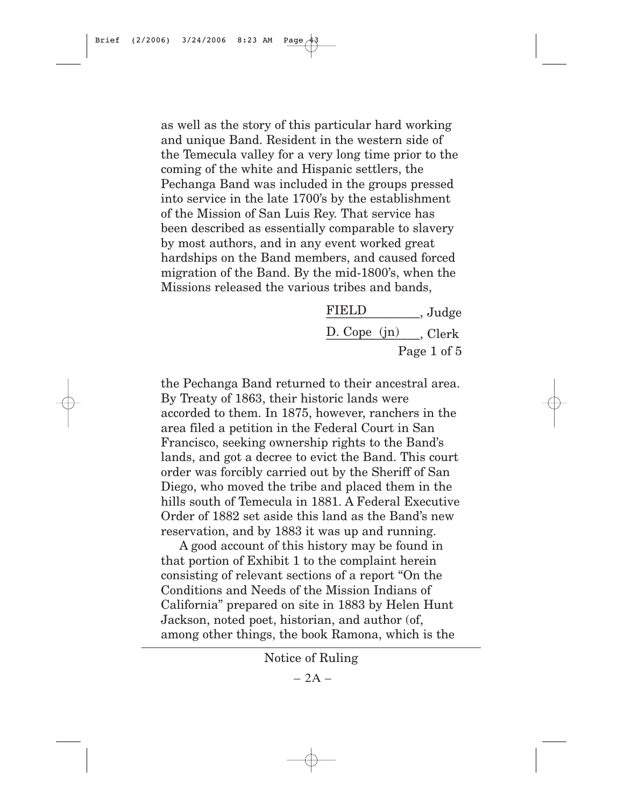as well as the story of this particular hard working and unique Band. Resident in the western side of the Temecula valley for a very long time prior to the coming of the white and Hispanic settlers, the Pechanga Band was included in the groups pressed into service in the late 1700's by the establishment of the Mission of San Luis Rey. That service has been described as essentially comparable to slavery by most authors, and in any event worked great hardships on the Band members, and caused forced migration of the Band. By the mid-1800's, when the Missions released the various tribes and bands,

| <b>FIELD</b>       | , Judge     |  |
|--------------------|-------------|--|
| D. Cope (jn) Clerk |             |  |
|                    | Page 1 of 5 |  |

the Pechanga Band returned to their ancestral area. By Treaty of 1863, their historic lands were accorded to them. In 1875, however, ranchers in the area filed a petition in the Federal Court in San Francisco, seeking ownership rights to the Band's lands, and got a decree to evict the Band. This court order was forcibly carried out by the Sheriff of San Diego, who moved the tribe and placed them in the hills south of Temecula in 1881. A Federal Executive Order of 1882 set aside this land as the Band's new reservation, and by 1883 it was up and running.

A good account of this history may be found in that portion of Exhibit 1 to the complaint herein consisting of relevant sections of a report "On the Conditions and Needs of the Mission Indians of California" prepared on site in 1883 by Helen Hunt Jackson, noted poet, historian, and author (of, among other things, the book Ramona, which is the

Notice of Ruling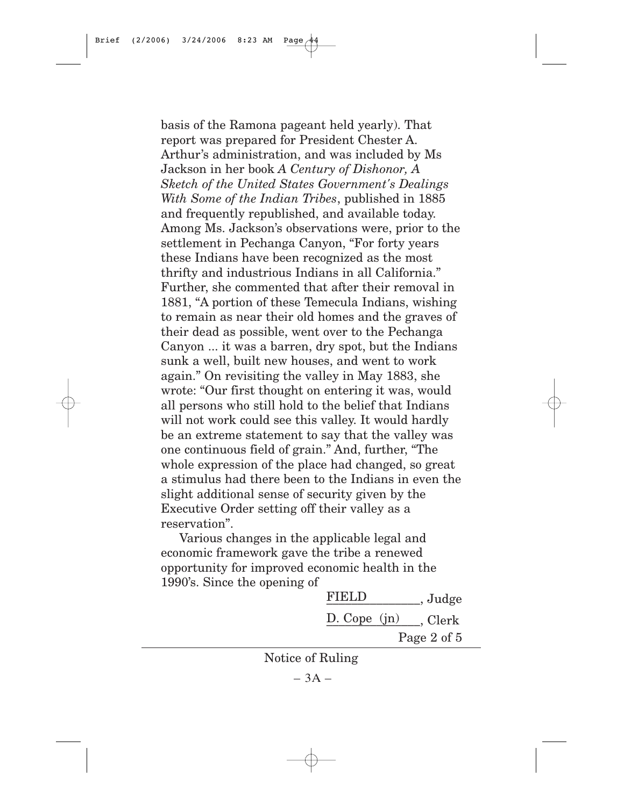basis of the Ramona pageant held yearly). That report was prepared for President Chester A. Arthur's administration, and was included by Ms Jackson in her book *A Century of Dishonor, A Sketch of the United States Government's Dealings With Some of the Indian Tribes*, published in 1885 and frequently republished, and available today. Among Ms. Jackson's observations were, prior to the settlement in Pechanga Canyon, "For forty years these Indians have been recognized as the most thrifty and industrious Indians in all California." Further, she commented that after their removal in 1881, "A portion of these Temecula Indians, wishing to remain as near their old homes and the graves of their dead as possible, went over to the Pechanga Canyon ... it was a barren, dry spot, but the Indians sunk a well, built new houses, and went to work again." On revisiting the valley in May 1883, she wrote: "Our first thought on entering it was, would all persons who still hold to the belief that Indians will not work could see this valley. It would hardly be an extreme statement to say that the valley was one continuous field of grain." And, further, "The whole expression of the place had changed, so great a stimulus had there been to the Indians in even the slight additional sense of security given by the Executive Order setting off their valley as a reservation".

Various changes in the applicable legal and economic framework gave the tribe a renewed opportunity for improved economic health in the 1990's. Since the opening of

| <b>FIELD</b>                  | , Judge     |
|-------------------------------|-------------|
| $D. \text{Cope } (\text{in})$ | Clerk,      |
|                               | Page 2 of 5 |

Notice of Ruling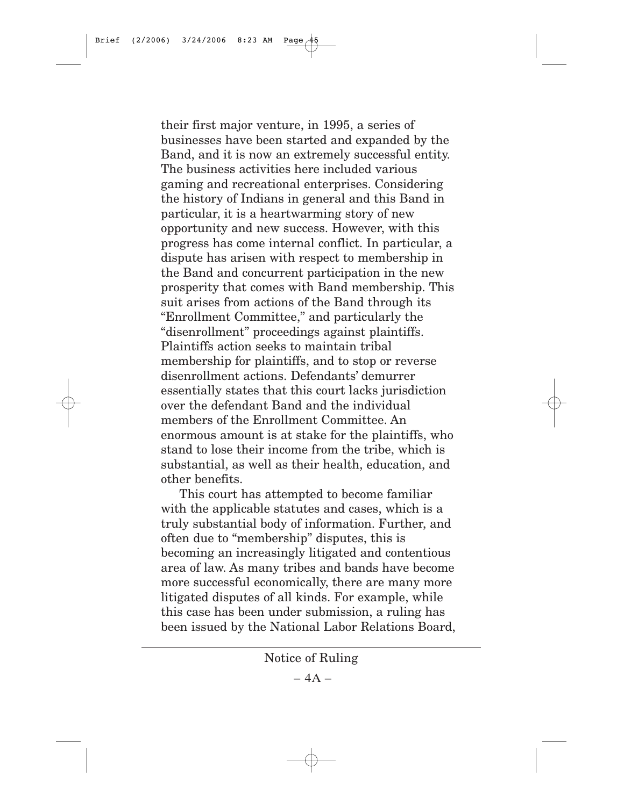their first major venture, in 1995, a series of businesses have been started and expanded by the Band, and it is now an extremely successful entity. The business activities here included various gaming and recreational enterprises. Considering the history of Indians in general and this Band in particular, it is a heartwarming story of new opportunity and new success. However, with this progress has come internal conflict. In particular, a dispute has arisen with respect to membership in the Band and concurrent participation in the new prosperity that comes with Band membership. This suit arises from actions of the Band through its "Enrollment Committee," and particularly the "disenrollment" proceedings against plaintiffs. Plaintiffs action seeks to maintain tribal membership for plaintiffs, and to stop or reverse disenrollment actions. Defendants' demurrer essentially states that this court lacks jurisdiction over the defendant Band and the individual members of the Enrollment Committee. An enormous amount is at stake for the plaintiffs, who stand to lose their income from the tribe, which is substantial, as well as their health, education, and other benefits.

This court has attempted to become familiar with the applicable statutes and cases, which is a truly substantial body of information. Further, and often due to "membership" disputes, this is becoming an increasingly litigated and contentious area of law. As many tribes and bands have become more successful economically, there are many more litigated disputes of all kinds. For example, while this case has been under submission, a ruling has been issued by the National Labor Relations Board,

Notice of Ruling

 $-4A-$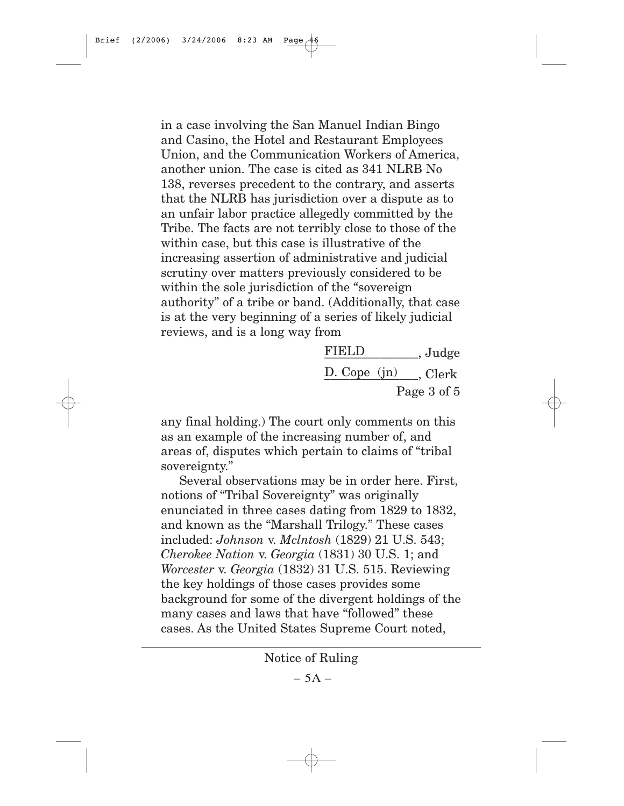in a case involving the San Manuel Indian Bingo and Casino, the Hotel and Restaurant Employees Union, and the Communication Workers of America, another union. The case is cited as 341 NLRB No 138, reverses precedent to the contrary, and asserts that the NLRB has jurisdiction over a dispute as to an unfair labor practice allegedly committed by the Tribe. The facts are not terribly close to those of the within case, but this case is illustrative of the increasing assertion of administrative and judicial scrutiny over matters previously considered to be within the sole jurisdiction of the "sovereign authority" of a tribe or band. (Additionally, that case is at the very beginning of a series of likely judicial reviews, and is a long way from

| <b>FIELD</b> | , Judge                                  |
|--------------|------------------------------------------|
|              | $D. \text{Cope (jn)} \quad \text{Clerk}$ |
|              | Page 3 of 5                              |

any final holding.) The court only comments on this as an example of the increasing number of, and areas of, disputes which pertain to claims of "tribal sovereignty."

Several observations may be in order here. First, notions of "Tribal Sovereignty" was originally enunciated in three cases dating from 1829 to 1832, and known as the "Marshall Trilogy." These cases included: *Johnson* v. *Mclntosh* (1829) 21 U.S. 543; *Cherokee Nation* v. *Georgia* (1831) 30 U.S. 1; and *Worcester* v. *Georgia* (1832) 31 U.S. 515. Reviewing the key holdings of those cases provides some background for some of the divergent holdings of the many cases and laws that have "followed" these cases. As the United States Supreme Court noted,

Notice of Ruling

 $-5A -$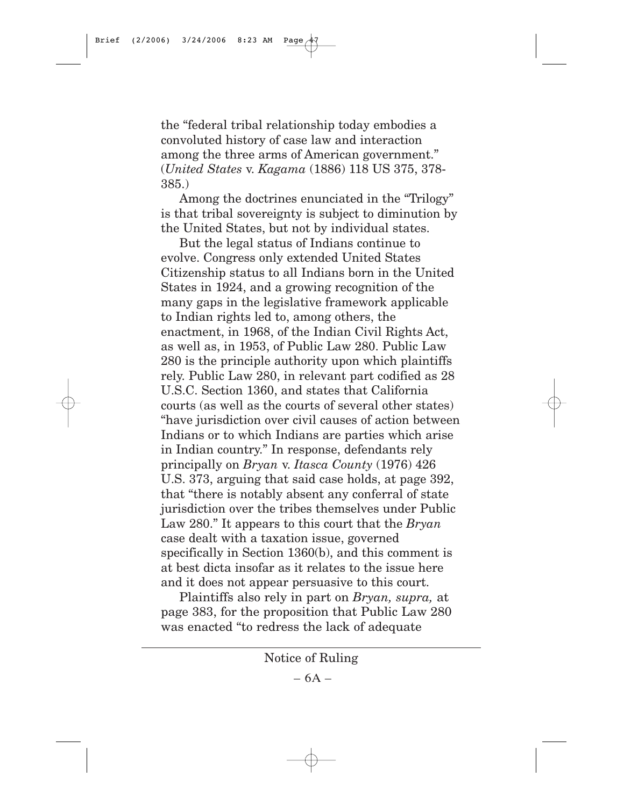the "federal tribal relationship today embodies a convoluted history of case law and interaction among the three arms of American government." (*United States* v. *Kagama* (1886) 118 US 375, 378- 385.)

Among the doctrines enunciated in the "Trilogy" is that tribal sovereignty is subject to diminution by the United States, but not by individual states.

But the legal status of Indians continue to evolve. Congress only extended United States Citizenship status to all Indians born in the United States in 1924, and a growing recognition of the many gaps in the legislative framework applicable to Indian rights led to, among others, the enactment, in 1968, of the Indian Civil Rights Act, as well as, in 1953, of Public Law 280. Public Law 280 is the principle authority upon which plaintiffs rely. Public Law 280, in relevant part codified as 28 U.S.C. Section 1360, and states that California courts (as well as the courts of several other states) "have jurisdiction over civil causes of action between Indians or to which Indians are parties which arise in Indian country." In response, defendants rely principally on *Bryan* v. *Itasca County* (1976) 426 U.S. 373, arguing that said case holds, at page 392, that "there is notably absent any conferral of state jurisdiction over the tribes themselves under Public Law 280." It appears to this court that the *Bryan* case dealt with a taxation issue, governed specifically in Section 1360(b), and this comment is at best dicta insofar as it relates to the issue here and it does not appear persuasive to this court.

Plaintiffs also rely in part on *Bryan, supra,* at page 383, for the proposition that Public Law 280 was enacted "to redress the lack of adequate

Notice of Ruling

 $-6A -$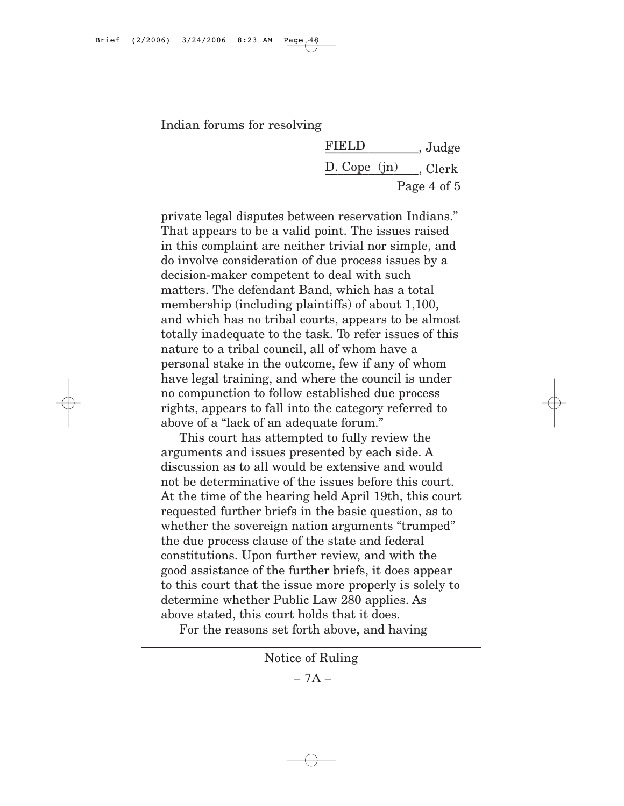Indian forums for resolving

FIELD , Judge D. Cope  $(jn)$  . Clerk Page 4 of 5

private legal disputes between reservation Indians." That appears to be a valid point. The issues raised in this complaint are neither trivial nor simple, and do involve consideration of due process issues by a decision-maker competent to deal with such matters. The defendant Band, which has a total membership (including plaintiffs) of about 1,100, and which has no tribal courts, appears to be almost totally inadequate to the task. To refer issues of this nature to a tribal council, all of whom have a personal stake in the outcome, few if any of whom have legal training, and where the council is under no compunction to follow established due process rights, appears to fall into the category referred to above of a "lack of an adequate forum."

This court has attempted to fully review the arguments and issues presented by each side. A discussion as to all would be extensive and would not be determinative of the issues before this court. At the time of the hearing held April 19th, this court requested further briefs in the basic question, as to whether the sovereign nation arguments "trumped" the due process clause of the state and federal constitutions. Upon further review, and with the good assistance of the further briefs, it does appear to this court that the issue more properly is solely to determine whether Public Law 280 applies. As above stated, this court holds that it does.

For the reasons set forth above, and having

Notice of Ruling

 $-7A -$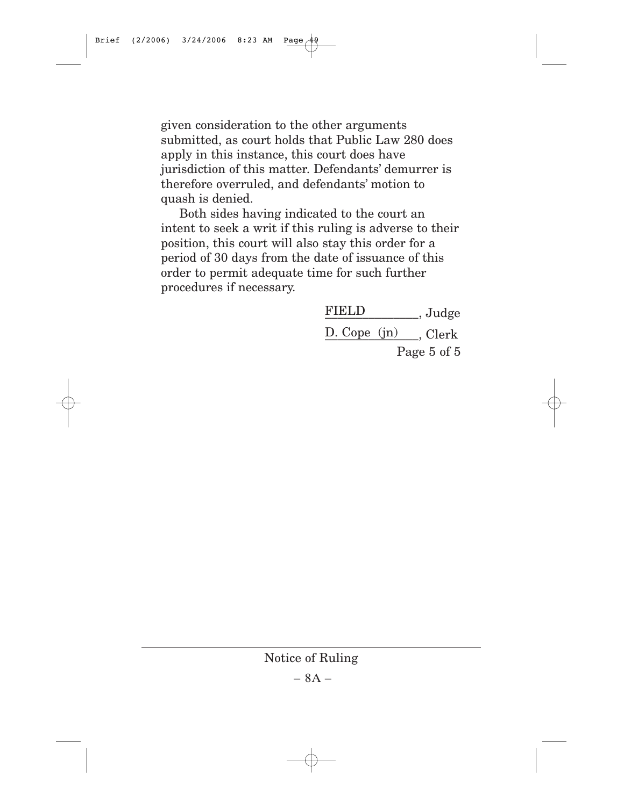given consideration to the other arguments submitted, as court holds that Public Law 280 does apply in this instance, this court does have jurisdiction of this matter. Defendants' demurrer is therefore overruled, and defendants' motion to quash is denied.

Both sides having indicated to the court an intent to seek a writ if this ruling is adverse to their position, this court will also stay this order for a period of 30 days from the date of issuance of this order to permit adequate time for such further procedures if necessary.

> FIELD \_\_\_\_\_\_\_\_\_, Judge D. Cope (jn) Clerk Page 5 of 5

Notice of Ruling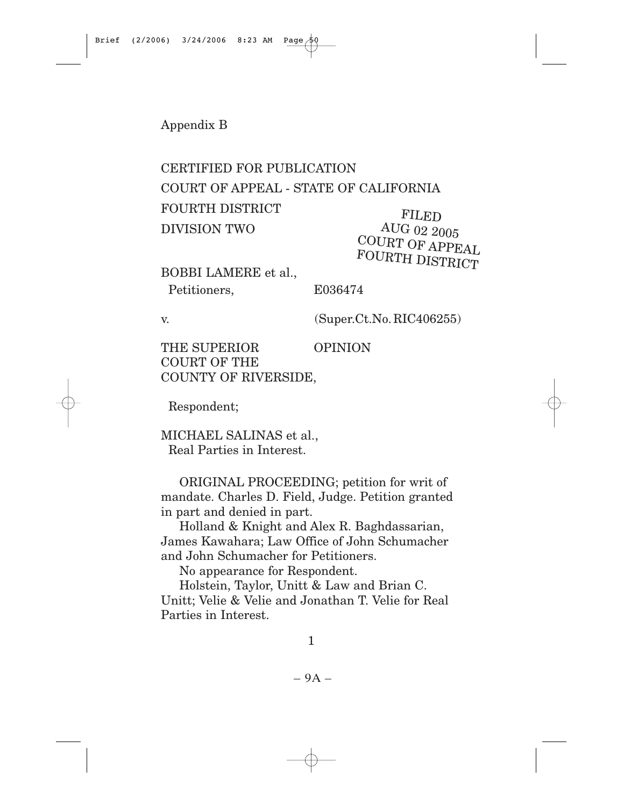Appendix B

# CERTIFIED FOR PUBLICATION

COURT OF APPEAL - STATE OF CALIFORNIA

FOURTH DISTRICT

DIVISION TWO

FILED AUG 02 2005 COURT OF APPEAL FOURTH DISTRICT

BOBBI LAMERE et al., Petitioners, E036474

v. (Super.Ct.No.RIC406255)

THE SUPERIOR OPINION COURT OF THE COUNTY OF RIVERSIDE,

Respondent;

MICHAEL SALINAS et al., Real Parties in Interest.

ORIGINAL PROCEEDING; petition for writ of mandate. Charles D. Field, Judge. Petition granted in part and denied in part.

Holland & Knight and Alex R. Baghdassarian, James Kawahara; Law Office of John Schumacher and John Schumacher for Petitioners.

No appearance for Respondent.

Holstein, Taylor, Unitt & Law and Brian C. Unitt; Velie & Velie and Jonathan T. Velie for Real Parties in Interest.

1

– 9A –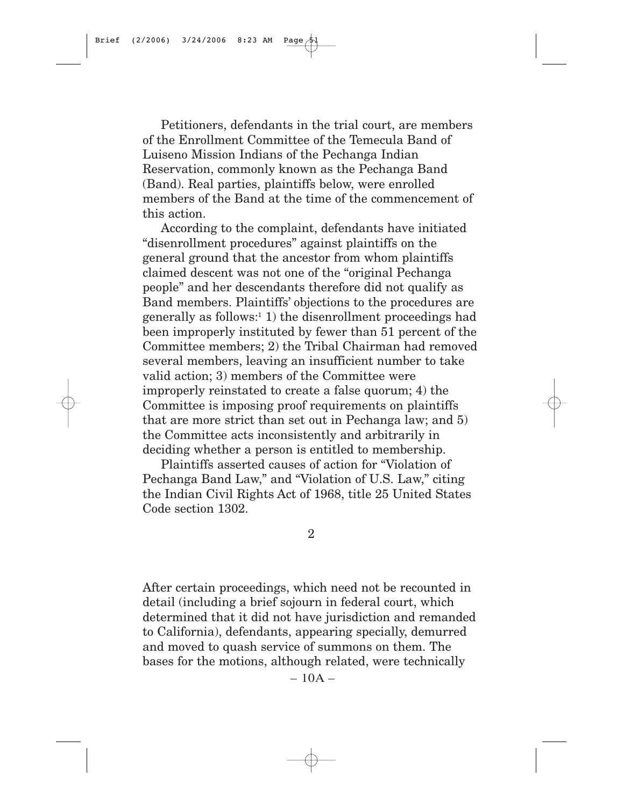Petitioners, defendants in the trial court, are members of the Enrollment Committee of the Temecula Band of Luiseno Mission Indians of the Pechanga Indian Reservation, commonly known as the Pechanga Band (Band). Real parties, plaintiffs below, were enrolled members of the Band at the time of the commencement of this action.

According to the complaint, defendants have initiated "disenrollment procedures" against plaintiffs on the general ground that the ancestor from whom plaintiffs claimed descent was not one of the "original Pechanga people" and her descendants therefore did not qualify as Band members. Plaintiffs' objections to the procedures are generally as follows:1 1) the disenrollment proceedings had been improperly instituted by fewer than 51 percent of the Committee members; 2) the Tribal Chairman had removed several members, leaving an insufficient number to take valid action; 3) members of the Committee were improperly reinstated to create a false quorum; 4) the Committee is imposing proof requirements on plaintiffs that are more strict than set out in Pechanga law; and 5) the Committee acts inconsistently and arbitrarily in deciding whether a person is entitled to membership.

Plaintiffs asserted causes of action for "Violation of Pechanga Band Law," and "Violation of U.S. Law," citing the Indian Civil Rights Act of 1968, title 25 United States Code section 1302.

2

After certain proceedings, which need not be recounted in detail (including a brief sojourn in federal court, which determined that it did not have jurisdiction and remanded to California), defendants, appearing specially, demurred and moved to quash service of summons on them. The bases for the motions, although related, were technically

 $-10A -$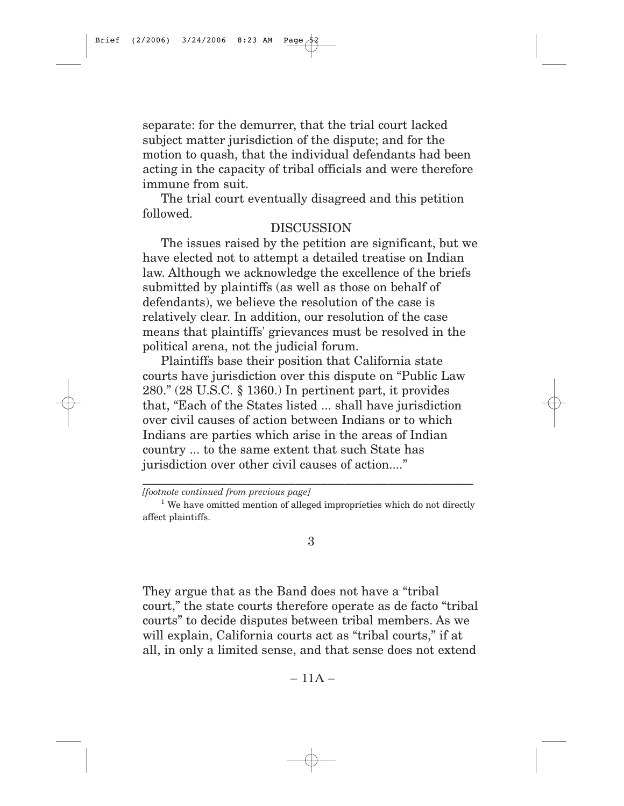separate: for the demurrer, that the trial court lacked subject matter jurisdiction of the dispute; and for the motion to quash, that the individual defendants had been acting in the capacity of tribal officials and were therefore immune from suit.

The trial court eventually disagreed and this petition followed.

#### DISCUSSION

The issues raised by the petition are significant, but we have elected not to attempt a detailed treatise on Indian law. Although we acknowledge the excellence of the briefs submitted by plaintiffs (as well as those on behalf of defendants), we believe the resolution of the case is relatively clear. In addition, our resolution of the case means that plaintiffs' grievances must be resolved in the political arena, not the judicial forum.

Plaintiffs base their position that California state courts have jurisdiction over this dispute on "Public Law 280." (28 U.S.C. § 1360.) In pertinent part, it provides that, "Each of the States listed ... shall have jurisdiction over civil causes of action between Indians or to which Indians are parties which arise in the areas of Indian country ... to the same extent that such State has jurisdiction over other civil causes of action...."

\_\_\_\_\_\_\_\_\_\_\_\_\_\_\_\_\_\_\_\_\_\_\_\_\_\_\_\_\_\_\_\_\_\_\_\_\_\_\_\_\_\_\_\_\_\_\_\_\_\_\_\_\_\_

3

They argue that as the Band does not have a "tribal court," the state courts therefore operate as de facto "tribal courts" to decide disputes between tribal members. As we will explain, California courts act as "tribal courts," if at all, in only a limited sense, and that sense does not extend

 $-11A-$ 

*<sup>[</sup>footnote continued from previous page]*

 $1$  We have omitted mention of alleged improprieties which do not directly affect plaintiffs.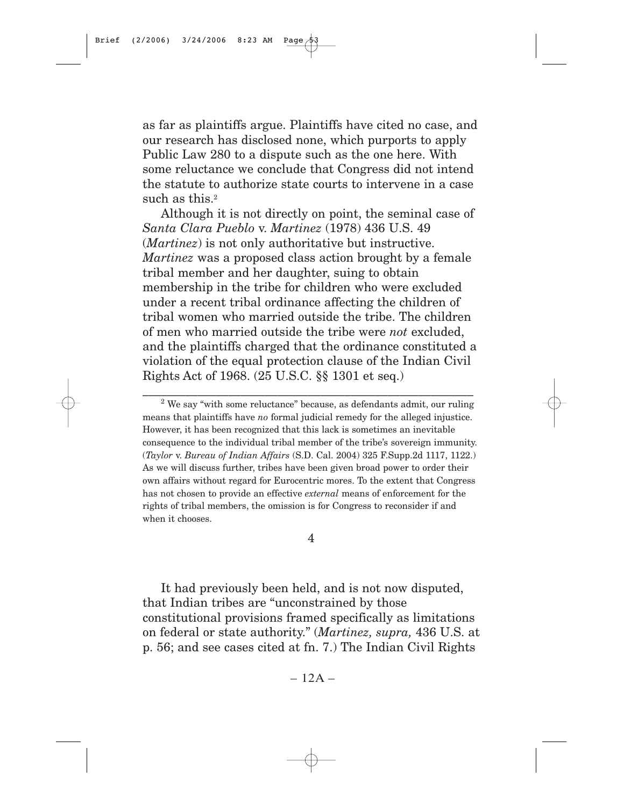as far as plaintiffs argue. Plaintiffs have cited no case, and our research has disclosed none, which purports to apply Public Law 280 to a dispute such as the one here. With some reluctance we conclude that Congress did not intend the statute to authorize state courts to intervene in a case such as this.<sup>2</sup>

Although it is not directly on point, the seminal case of *Santa Clara Pueblo* v. *Martinez* (1978) 436 U.S. 49 (*Martinez*) is not only authoritative but instructive. *Martinez* was a proposed class action brought by a female tribal member and her daughter, suing to obtain membership in the tribe for children who were excluded under a recent tribal ordinance affecting the children of tribal women who married outside the tribe. The children of men who married outside the tribe were *not* excluded, and the plaintiffs charged that the ordinance constituted a violation of the equal protection clause of the Indian Civil Rights Act of 1968. (25 U.S.C. §§ 1301 et seq.)

\_\_\_\_\_\_\_\_\_\_\_\_\_\_\_\_\_\_\_\_\_\_\_\_\_\_\_\_\_\_\_\_\_\_\_\_\_\_\_\_\_\_\_\_\_\_\_\_\_\_\_\_\_\_

4

It had previously been held, and is not now disputed, that Indian tribes are "unconstrained by those constitutional provisions framed specifically as limitations on federal or state authority." (*Martinez, supra,* 436 U.S. at p. 56; and see cases cited at fn. 7.) The Indian Civil Rights

 $-12A-$ 

<sup>&</sup>lt;sup>2</sup> We say "with some reluctance" because, as defendants admit, our ruling means that plaintiffs have *no* formal judicial remedy for the alleged injustice. However, it has been recognized that this lack is sometimes an inevitable consequence to the individual tribal member of the tribe's sovereign immunity. (*Taylor* v. *Bureau of Indian Affairs* (S.D. Cal. 2004) 325 F.Supp.2d 1117, 1122.) As we will discuss further, tribes have been given broad power to order their own affairs without regard for Eurocentric mores. To the extent that Congress has not chosen to provide an effective *external* means of enforcement for the rights of tribal members, the omission is for Congress to reconsider if and when it chooses.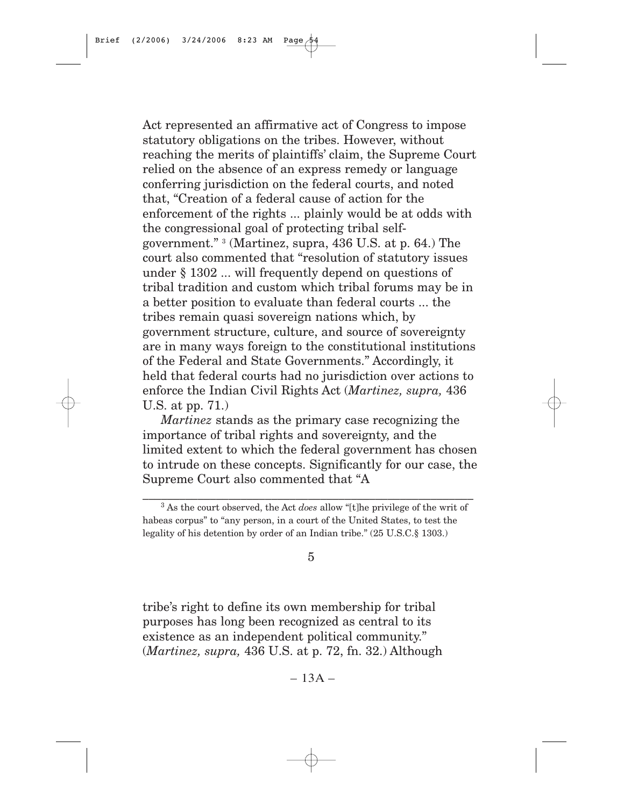Act represented an affirmative act of Congress to impose statutory obligations on the tribes. However, without reaching the merits of plaintiffs' claim, the Supreme Court relied on the absence of an express remedy or language conferring jurisdiction on the federal courts, and noted that, "Creation of a federal cause of action for the enforcement of the rights ... plainly would be at odds with the congressional goal of protecting tribal selfgovernment." 3 (Martinez, supra, 436 U.S. at p. 64.) The court also commented that "resolution of statutory issues under § 1302 ... will frequently depend on questions of tribal tradition and custom which tribal forums may be in a better position to evaluate than federal courts ... the tribes remain quasi sovereign nations which, by government structure, culture, and source of sovereignty are in many ways foreign to the constitutional institutions of the Federal and State Governments." Accordingly, it held that federal courts had no jurisdiction over actions to enforce the Indian Civil Rights Act (*Martinez, supra,* 436 U.S. at pp. 71.)

*Martinez* stands as the primary case recognizing the importance of tribal rights and sovereignty, and the limited extent to which the federal government has chosen to intrude on these concepts. Significantly for our case, the Supreme Court also commented that "A

\_\_\_\_\_\_\_\_\_\_\_\_\_\_\_\_\_\_\_\_\_\_\_\_\_\_\_\_\_\_\_\_\_\_\_\_\_\_\_\_\_\_\_\_\_\_\_\_\_\_\_\_\_\_

5

tribe's right to define its own membership for tribal purposes has long been recognized as central to its existence as an independent political community." (*Martinez, supra,* 436 U.S. at p. 72, fn. 32.) Although

 $-13A-$ 

<sup>3</sup> As the court observed, the Act *does* allow "[t]he privilege of the writ of habeas corpus" to "any person, in a court of the United States, to test the legality of his detention by order of an Indian tribe." (25 U.S.C.§ 1303.)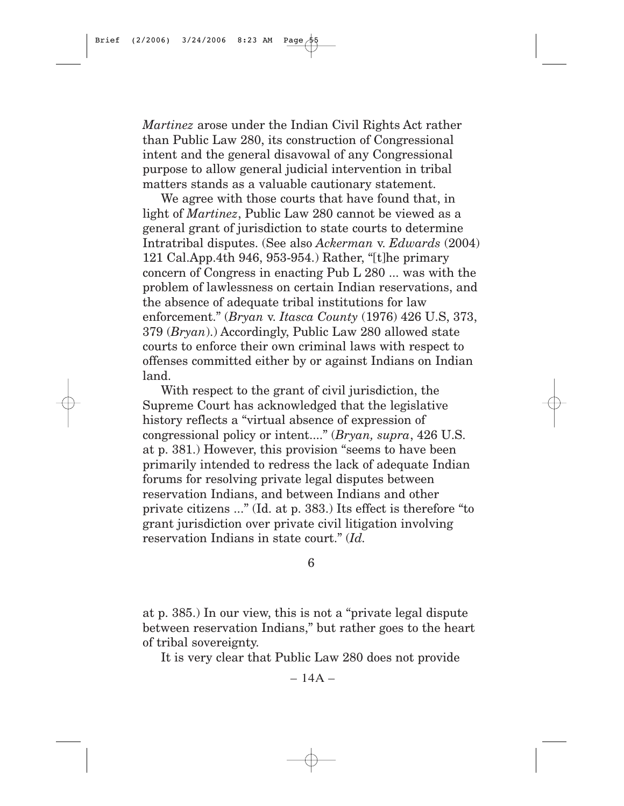*Martinez* arose under the Indian Civil Rights Act rather than Public Law 280, its construction of Congressional intent and the general disavowal of any Congressional purpose to allow general judicial intervention in tribal matters stands as a valuable cautionary statement.

We agree with those courts that have found that, in light of *Martinez*, Public Law 280 cannot be viewed as a general grant of jurisdiction to state courts to determine Intratribal disputes. (See also *Ackerman* v. *Edwards* (2004) 121 Cal.App.4th 946, 953-954.) Rather, "[t]he primary concern of Congress in enacting Pub L 280 ... was with the problem of lawlessness on certain Indian reservations, and the absence of adequate tribal institutions for law enforcement." (*Bryan* v. *Itasca County* (1976) 426 U.S, 373, 379 (*Bryan*).) Accordingly, Public Law 280 allowed state courts to enforce their own criminal laws with respect to offenses committed either by or against Indians on Indian land.

With respect to the grant of civil jurisdiction, the Supreme Court has acknowledged that the legislative history reflects a "virtual absence of expression of congressional policy or intent...." (*Bryan, supra*, 426 U.S. at p. 381.) However, this provision "seems to have been primarily intended to redress the lack of adequate Indian forums for resolving private legal disputes between reservation Indians, and between Indians and other private citizens ..." (Id. at p. 383.) Its effect is therefore "to grant jurisdiction over private civil litigation involving reservation Indians in state court." (*Id.*

6

at p. 385.) In our view, this is not a "private legal dispute between reservation Indians," but rather goes to the heart of tribal sovereignty.

It is very clear that Public Law 280 does not provide

 $- 14A -$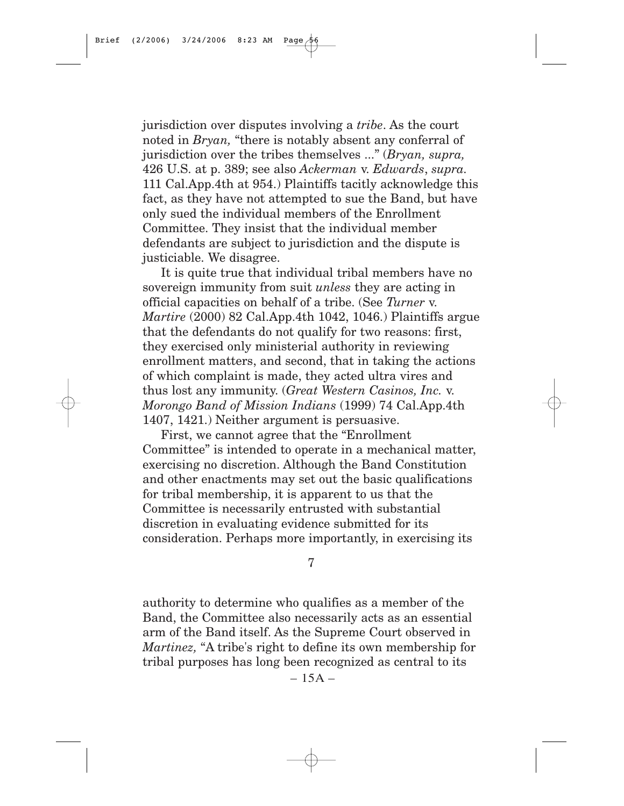jurisdiction over disputes involving a *tribe*. As the court noted in *Bryan,* "there is notably absent any conferral of jurisdiction over the tribes themselves ..." (*Bryan, supra,* 426 U.S. at p. 389; see also *Ackerman* v. *Edwards*, *supra.* 111 Cal.App.4th at 954.) Plaintiffs tacitly acknowledge this fact, as they have not attempted to sue the Band, but have only sued the individual members of the Enrollment Committee. They insist that the individual member defendants are subject to jurisdiction and the dispute is justiciable. We disagree.

It is quite true that individual tribal members have no sovereign immunity from suit *unless* they are acting in official capacities on behalf of a tribe. (See *Turner* v. *Martire* (2000) 82 Cal.App.4th 1042, 1046.) Plaintiffs argue that the defendants do not qualify for two reasons: first, they exercised only ministerial authority in reviewing enrollment matters, and second, that in taking the actions of which complaint is made, they acted ultra vires and thus lost any immunity. (*Great Western Casinos, Inc.* v. *Morongo Band of Mission Indians* (1999) 74 Cal.App.4th 1407, 1421.) Neither argument is persuasive.

First, we cannot agree that the "Enrollment Committee" is intended to operate in a mechanical matter, exercising no discretion. Although the Band Constitution and other enactments may set out the basic qualifications for tribal membership, it is apparent to us that the Committee is necessarily entrusted with substantial discretion in evaluating evidence submitted for its consideration. Perhaps more importantly, in exercising its

7

authority to determine who qualifies as a member of the Band, the Committee also necessarily acts as an essential arm of the Band itself. As the Supreme Court observed in *Martinez,* "A tribe's right to define its own membership for tribal purposes has long been recognized as central to its

 $-15A-$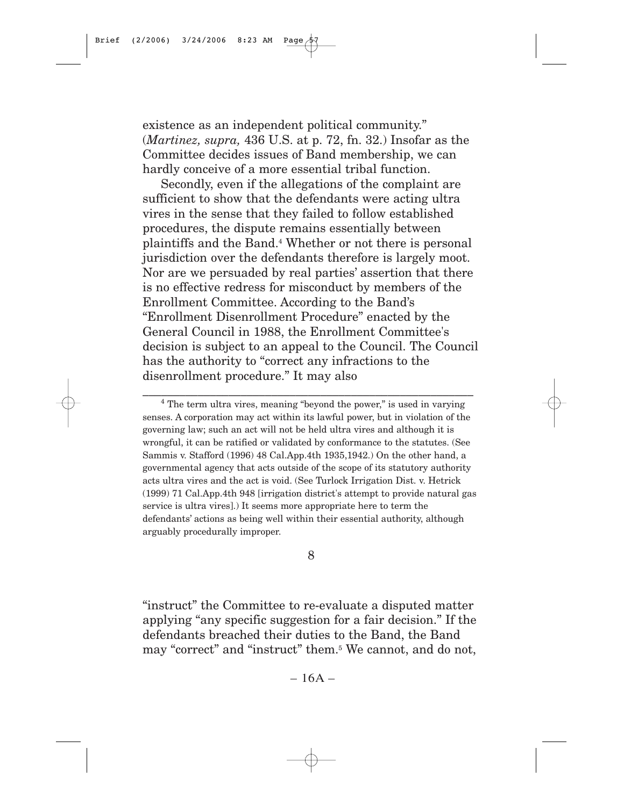existence as an independent political community." (*Martinez, supra,* 436 U.S. at p. 72, fn. 32.) Insofar as the Committee decides issues of Band membership, we can hardly conceive of a more essential tribal function.

Secondly, even if the allegations of the complaint are sufficient to show that the defendants were acting ultra vires in the sense that they failed to follow established procedures, the dispute remains essentially between plaintiffs and the Band.4 Whether or not there is personal jurisdiction over the defendants therefore is largely moot. Nor are we persuaded by real parties' assertion that there is no effective redress for misconduct by members of the Enrollment Committee. According to the Band's "Enrollment Disenrollment Procedure" enacted by the General Council in 1988, the Enrollment Committee's decision is subject to an appeal to the Council. The Council has the authority to "correct any infractions to the disenrollment procedure." It may also

\_\_\_\_\_\_\_\_\_\_\_\_\_\_\_\_\_\_\_\_\_\_\_\_\_\_\_\_\_\_\_\_\_\_\_\_\_\_\_\_\_\_\_\_\_\_\_\_\_\_\_\_\_\_

8

"instruct" the Committee to re-evaluate a disputed matter applying "any specific suggestion for a fair decision." If the defendants breached their duties to the Band, the Band may "correct" and "instruct" them.5 We cannot, and do not,

 $-16A -$ 

<sup>&</sup>lt;sup>4</sup> The term ultra vires, meaning "beyond the power," is used in varying senses. A corporation may act within its lawful power, but in violation of the governing law; such an act will not be held ultra vires and although it is wrongful, it can be ratified or validated by conformance to the statutes. (See Sammis v. Stafford (1996) 48 Cal.App.4th 1935,1942.) On the other hand, a governmental agency that acts outside of the scope of its statutory authority acts ultra vires and the act is void. (See Turlock Irrigation Dist. v. Hetrick (1999) 71 Cal.App.4th 948 [irrigation district's attempt to provide natural gas service is ultra vires].) It seems more appropriate here to term the defendants' actions as being well within their essential authority, although arguably procedurally improper.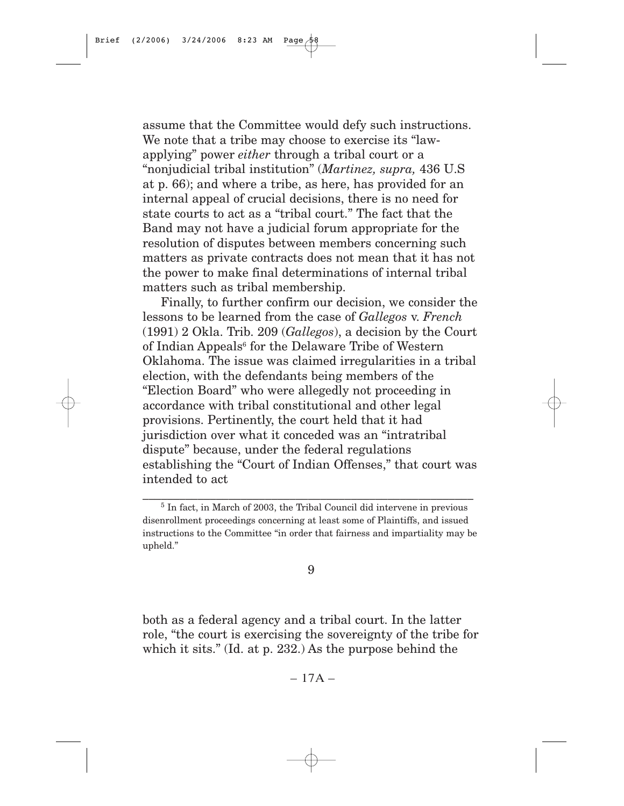assume that the Committee would defy such instructions. We note that a tribe may choose to exercise its "lawapplying" power *either* through a tribal court or a "nonjudicial tribal institution" (*Martinez, supra,* 436 U.S at p. 66); and where a tribe, as here, has provided for an internal appeal of crucial decisions, there is no need for state courts to act as a "tribal court." The fact that the Band may not have a judicial forum appropriate for the resolution of disputes between members concerning such matters as private contracts does not mean that it has not the power to make final determinations of internal tribal matters such as tribal membership.

Finally, to further confirm our decision, we consider the lessons to be learned from the case of *Gallegos* v. *French* (1991) 2 Okla. Trib. 209 (*Gallegos*), a decision by the Court of Indian Appeals<sup>6</sup> for the Delaware Tribe of Western Oklahoma. The issue was claimed irregularities in a tribal election, with the defendants being members of the "Election Board" who were allegedly not proceeding in accordance with tribal constitutional and other legal provisions. Pertinently, the court held that it had jurisdiction over what it conceded was an "intratribal dispute" because, under the federal regulations establishing the "Court of Indian Offenses," that court was intended to act

\_\_\_\_\_\_\_\_\_\_\_\_\_\_\_\_\_\_\_\_\_\_\_\_\_\_\_\_\_\_\_\_\_\_\_\_\_\_\_\_\_\_\_\_\_\_\_\_\_\_\_\_\_\_

#### 9

both as a federal agency and a tribal court. In the latter role, "the court is exercising the sovereignty of the tribe for which it sits." (Id. at p. 232.) As the purpose behind the

 $-17A-$ 

 $5$  In fact, in March of 2003, the Tribal Council did intervene in previous disenrollment proceedings concerning at least some of Plaintiffs, and issued instructions to the Committee "in order that fairness and impartiality may be upheld."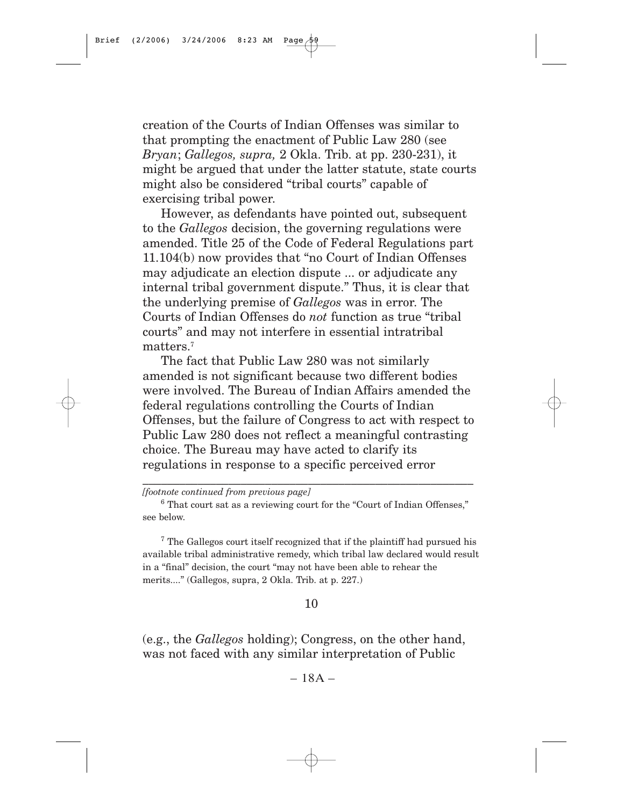creation of the Courts of Indian Offenses was similar to that prompting the enactment of Public Law 280 (see *Bryan*; *Gallegos, supra,* 2 Okla. Trib. at pp. 230-231), it might be argued that under the latter statute, state courts might also be considered "tribal courts" capable of exercising tribal power.

However, as defendants have pointed out, subsequent to the *Gallegos* decision, the governing regulations were amended. Title 25 of the Code of Federal Regulations part 11.104(b) now provides that "no Court of Indian Offenses may adjudicate an election dispute ... or adjudicate any internal tribal government dispute." Thus, it is clear that the underlying premise of *Gallegos* was in error. The Courts of Indian Offenses do *not* function as true "tribal courts" and may not interfere in essential intratribal matters.7

The fact that Public Law 280 was not similarly amended is not significant because two different bodies were involved. The Bureau of Indian Affairs amended the federal regulations controlling the Courts of Indian Offenses, but the failure of Congress to act with respect to Public Law 280 does not reflect a meaningful contrasting choice. The Bureau may have acted to clarify its regulations in response to a specific perceived error

\_\_\_\_\_\_\_\_\_\_\_\_\_\_\_\_\_\_\_\_\_\_\_\_\_\_\_\_\_\_\_\_\_\_\_\_\_\_\_\_\_\_\_\_\_\_\_\_\_\_\_\_\_\_

<sup>7</sup> The Gallegos court itself recognized that if the plaintiff had pursued his available tribal administrative remedy, which tribal law declared would result in a "final" decision, the court "may not have been able to rehear the merits...." (Gallegos, supra, 2 Okla. Trib. at p. 227.)

#### 10

(e.g., the *Gallegos* holding); Congress, on the other hand, was not faced with any similar interpretation of Public

 $-18A -$ 

*<sup>[</sup>footnote continued from previous page]*

<sup>6</sup> That court sat as a reviewing court for the "Court of Indian Offenses," see below.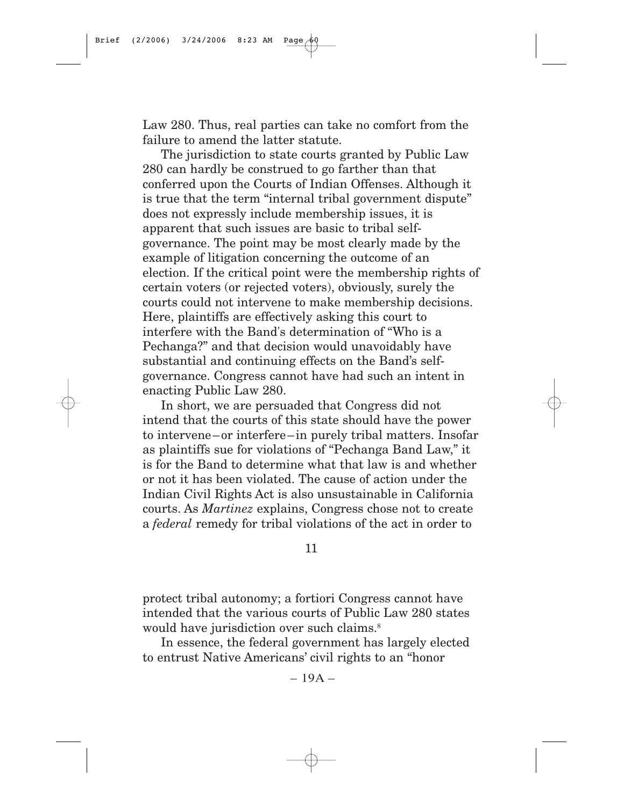Law 280. Thus, real parties can take no comfort from the failure to amend the latter statute.

The jurisdiction to state courts granted by Public Law 280 can hardly be construed to go farther than that conferred upon the Courts of Indian Offenses. Although it is true that the term "internal tribal government dispute" does not expressly include membership issues, it is apparent that such issues are basic to tribal selfgovernance. The point may be most clearly made by the example of litigation concerning the outcome of an election. If the critical point were the membership rights of certain voters (or rejected voters), obviously, surely the courts could not intervene to make membership decisions. Here, plaintiffs are effectively asking this court to interfere with the Band's determination of "Who is a Pechanga?" and that decision would unavoidably have substantial and continuing effects on the Band's selfgovernance. Congress cannot have had such an intent in enacting Public Law 280.

In short, we are persuaded that Congress did not intend that the courts of this state should have the power to intervene–or interfere–in purely tribal matters. Insofar as plaintiffs sue for violations of "Pechanga Band Law," it is for the Band to determine what that law is and whether or not it has been violated. The cause of action under the Indian Civil Rights Act is also unsustainable in California courts. As *Martinez* explains, Congress chose not to create a *federal* remedy for tribal violations of the act in order to

11

protect tribal autonomy; a fortiori Congress cannot have intended that the various courts of Public Law 280 states would have jurisdiction over such claims.<sup>8</sup>

In essence, the federal government has largely elected to entrust Native Americans' civil rights to an "honor

 $-19A-$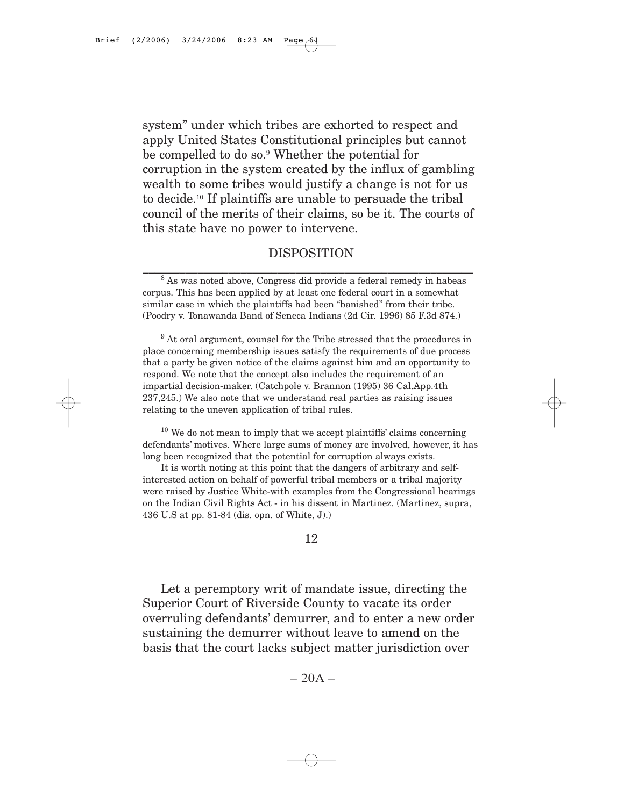system" under which tribes are exhorted to respect and apply United States Constitutional principles but cannot be compelled to do so.9 Whether the potential for corruption in the system created by the influx of gambling wealth to some tribes would justify a change is not for us to decide.10 If plaintiffs are unable to persuade the tribal council of the merits of their claims, so be it. The courts of this state have no power to intervene.

## DISPOSITION \_\_\_\_\_\_\_\_\_\_\_\_\_\_\_\_\_\_\_\_\_\_\_\_\_\_\_\_\_\_\_\_\_\_\_\_\_\_\_\_\_\_\_\_\_\_\_\_\_\_\_\_\_\_

<sup>9</sup> At oral argument, counsel for the Tribe stressed that the procedures in place concerning membership issues satisfy the requirements of due process that a party be given notice of the claims against him and an opportunity to respond. We note that the concept also includes the requirement of an impartial decision-maker. (Catchpole v. Brannon (1995) 36 Cal.App.4th 237,245.) We also note that we understand real parties as raising issues relating to the uneven application of tribal rules.

 $10$  We do not mean to imply that we accept plaintiffs' claims concerning defendants' motives. Where large sums of money are involved, however, it has long been recognized that the potential for corruption always exists.

It is worth noting at this point that the dangers of arbitrary and selfinterested action on behalf of powerful tribal members or a tribal majority were raised by Justice White-with examples from the Congressional hearings on the Indian Civil Rights Act - in his dissent in Martinez. (Martinez, supra, 436 U.S at pp. 81-84 (dis. opn. of White, J).)

12

Let a peremptory writ of mandate issue, directing the Superior Court of Riverside County to vacate its order overruling defendants' demurrer, and to enter a new order sustaining the demurrer without leave to amend on the basis that the court lacks subject matter jurisdiction over

 $-20A -$ 

<sup>8</sup> As was noted above, Congress did provide a federal remedy in habeas corpus. This has been applied by at least one federal court in a somewhat similar case in which the plaintiffs had been "banished" from their tribe. (Poodry v. Tonawanda Band of Seneca Indians (2d Cir. 1996) 85 F.3d 874.)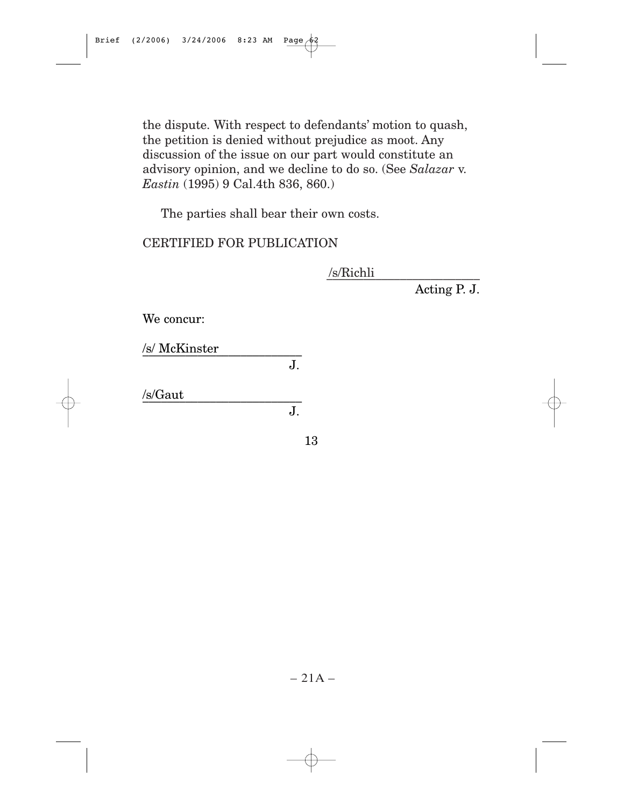the dispute. With respect to defendants' motion to quash, the petition is denied without prejudice as moot. Any discussion of the issue on our part would constitute an advisory opinion, and we decline to do so. (See *Salazar* v. *Eastin* (1995) 9 Cal.4th 836, 860.)

The parties shall bear their own costs.

## CERTIFIED FOR PUBLICATION

\_\_\_\_\_\_\_\_\_\_\_\_\_\_\_\_\_\_\_\_\_\_\_\_\_ /s/Richli

Acting P. J.

We concur:

/s/ McKinster \_\_\_\_\_\_\_\_\_\_\_\_\_\_\_\_\_\_\_\_\_\_\_\_\_\_

J.

J.

 $\sqrt{s/Gaut}$ 

13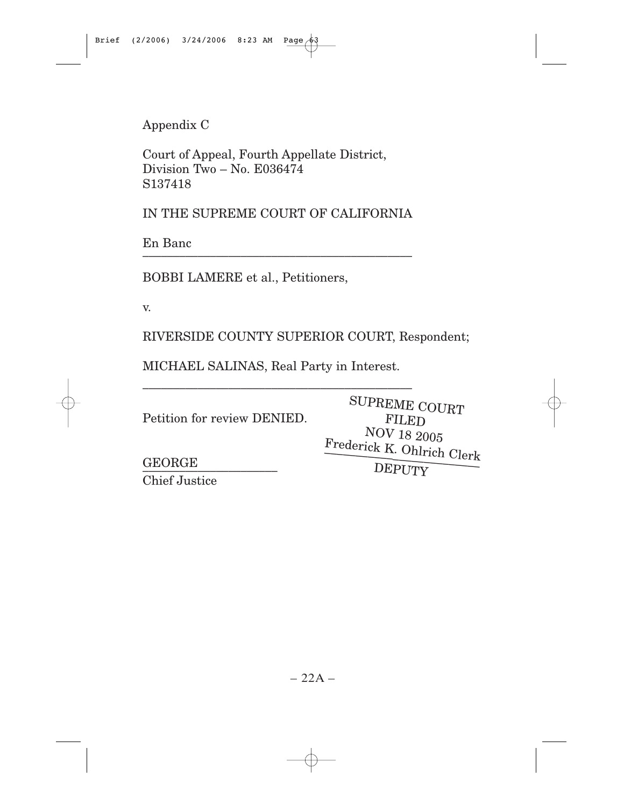Appendix C

Court of Appeal, Fourth Appellate District, Division Two – No. E036474 S137418

IN THE SUPREME COURT OF CALIFORNIA

En Banc \_\_\_\_\_\_\_\_\_\_\_\_\_\_\_\_\_\_\_\_\_\_\_\_\_\_\_\_\_\_\_\_\_\_\_\_\_\_\_\_\_\_\_\_

BOBBI LAMERE et al., Petitioners,

v.

RIVERSIDE COUNTY SUPERIOR COURT, Respondent;

MICHAEL SALINAS, Real Party in Interest.

\_\_\_\_\_\_\_\_\_\_\_\_\_\_\_\_\_\_\_\_\_\_\_\_\_\_\_\_\_\_\_\_\_\_\_\_\_\_\_\_\_\_\_\_

Petition for review DENIED.

SUPREME COURT FILED NOV 18 2005 Frederick K. Ohlrich Clerk \_\_\_\_\_\_\_\_\_\_\_\_\_\_\_\_\_\_\_\_\_\_\_\_\_

GEORGE \_\_\_\_\_\_\_\_\_\_\_\_\_\_\_\_\_\_\_\_\_\_ Chief Justice

DEPUTY